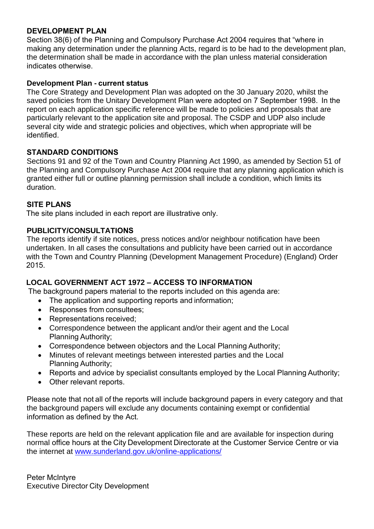## **DEVELOPMENT PLAN**

Section 38(6) of the Planning and Compulsory Purchase Act 2004 requires that "where in making any determination under the planning Acts, regard is to be had to the development plan, the determination shall be made in accordance with the plan unless material consideration indicates otherwise.   

## **Development Plan - current status**

The Core Strategy and Development Plan was adopted on the 30 January 2020, whilst the saved policies from the Unitary Development Plan were adopted on 7 September 1998.  In the report on each application specific reference will be made to policies and proposals that are particularly relevant to the application site and proposal. The CSDP and UDP also include several city wide and strategic policies and objectives, which when appropriate will be identified.    

## **STANDARD CONDITIONS**

Sections 91 and 92 of the Town and Country Planning Act 1990, as amended by Section 51 of the Planning and Compulsory Purchase Act 2004 require that any planning application which is granted either full or outline planning permission shall include a condition, which limits its duration.    

## **SITE PLANS**

The site plans included in each report are illustrative only.   

## **PUBLICITY/CONSULTATIONS**

The reports identify if site notices, press notices and/or neighbour notification have been undertaken. In all cases the consultations and publicity have been carried out in accordance with the Town and Country Planning (Development Management Procedure) (England) Order 2015.   

## **LOCAL GOVERNMENT ACT 1972 – ACCESS TO INFORMATION**

 The background papers material to the reports included on this agenda are:   

- The application and supporting reports and information;
- Responses from consultees;
- Representations received;
- Correspondence between the applicant and/or their agent and the Local Planning Authority;
- Correspondence between objectors and the Local Planning Authority;
- Minutes of relevant meetings between interested parties and the Local Planning Authority;
- Reports and advice by specialist consultants employed by the Local Planning Authority;
- Other relevant reports.

Please note that not all of the reports will include background papers in every category and that the background papers will exclude any documents containing exempt or confidential information as defined by the Act.     

These reports are held on the relevant application file and are available for inspection during normal office hours at the City Development Directorate at the Customer Service Centre or via the internet at [www.sunderland.gov.uk/online-applications/](http://www.sunderland.gov.uk/online-applications/)    

Peter McIntyre    Executive Director City Development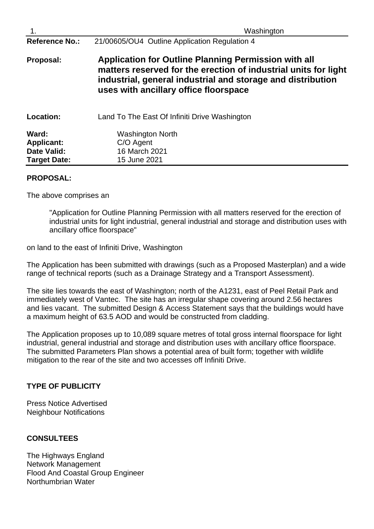| $\overline{1}$ .                                                        | Washington                                                                                                                                                                                                                      |
|-------------------------------------------------------------------------|---------------------------------------------------------------------------------------------------------------------------------------------------------------------------------------------------------------------------------|
| <b>Reference No.:</b>                                                   | 21/00605/OU4 Outline Application Regulation 4                                                                                                                                                                                   |
| Proposal:                                                               | Application for Outline Planning Permission with all<br>matters reserved for the erection of industrial units for light<br>industrial, general industrial and storage and distribution<br>uses with ancillary office floorspace |
| Location:                                                               | Land To The East Of Infiniti Drive Washington                                                                                                                                                                                   |
| Ward:<br><b>Applicant:</b><br><b>Date Valid:</b><br><b>Target Date:</b> | <b>Washington North</b><br>C/O Agent<br>16 March 2021<br>15 June 2021                                                                                                                                                           |

## **PROPOSAL:**

The above comprises an

"Application for Outline Planning Permission with all matters reserved for the erection of industrial units for light industrial, general industrial and storage and distribution uses with ancillary office floorspace"

on land to the east of Infiniti Drive, Washington

The Application has been submitted with drawings (such as a Proposed Masterplan) and a wide range of technical reports (such as a Drainage Strategy and a Transport Assessment).

The site lies towards the east of Washington; north of the A1231, east of Peel Retail Park and immediately west of Vantec. The site has an irregular shape covering around 2.56 hectares and lies vacant. The submitted Design & Access Statement says that the buildings would have a maximum height of 63.5 AOD and would be constructed from cladding.

The Application proposes up to 10,089 square metres of total gross internal floorspace for light industrial, general industrial and storage and distribution uses with ancillary office floorspace. The submitted Parameters Plan shows a potential area of built form; together with wildlife mitigation to the rear of the site and two accesses off Infiniti Drive.

## **TYPE OF PUBLICITY**

Press Notice Advertised Neighbour Notifications

## **CONSULTEES**

The Highways England Network Management Flood And Coastal Group Engineer Northumbrian Water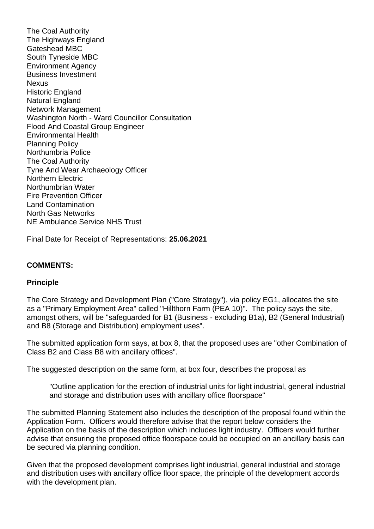The Coal Authority The Highways England Gateshead MBC South Tyneside MBC Environment Agency Business Investment **Nexus** Historic England Natural England Network Management Washington North - Ward Councillor Consultation Flood And Coastal Group Engineer Environmental Health Planning Policy Northumbria Police The Coal Authority Tyne And Wear Archaeology Officer Northern Electric Northumbrian Water Fire Prevention Officer Land Contamination North Gas Networks NE Ambulance Service NHS Trust

Final Date for Receipt of Representations: **25.06.2021**

## **COMMENTS:**

## **Principle**

The Core Strategy and Development Plan ("Core Strategy"), via policy EG1, allocates the site as a "Primary Employment Area" called "Hillthorn Farm (PEA 10)". The policy says the site, amongst others, will be "safeguarded for B1 (Business - excluding B1a), B2 (General Industrial) and B8 (Storage and Distribution) employment uses".

The submitted application form says, at box 8, that the proposed uses are "other Combination of Class B2 and Class B8 with ancillary offices".

The suggested description on the same form, at box four, describes the proposal as

"Outline application for the erection of industrial units for light industrial, general industrial and storage and distribution uses with ancillary office floorspace"

The submitted Planning Statement also includes the description of the proposal found within the Application Form. Officers would therefore advise that the report below considers the Application on the basis of the description which includes light industry. Officers would further advise that ensuring the proposed office floorspace could be occupied on an ancillary basis can be secured via planning condition.

Given that the proposed development comprises light industrial, general industrial and storage and distribution uses with ancillary office floor space, the principle of the development accords with the development plan.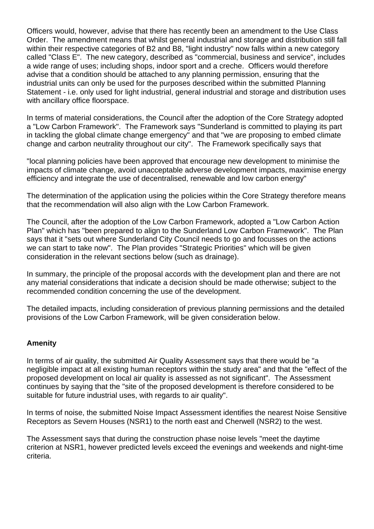Officers would, however, advise that there has recently been an amendment to the Use Class Order. The amendment means that whilst general industrial and storage and distribution still fall within their respective categories of B2 and B8, "light industry" now falls within a new category called "Class E". The new category, described as "commercial, business and service", includes a wide range of uses; including shops, indoor sport and a creche. Officers would therefore advise that a condition should be attached to any planning permission, ensuring that the industrial units can only be used for the purposes described within the submitted Planning Statement - i.e. only used for light industrial, general industrial and storage and distribution uses with ancillary office floorspace.

In terms of material considerations, the Council after the adoption of the Core Strategy adopted a "Low Carbon Framework". The Framework says "Sunderland is committed to playing its part in tackling the global climate change emergency" and that "we are proposing to embed climate change and carbon neutrality throughout our city". The Framework specifically says that

"local planning policies have been approved that encourage new development to minimise the impacts of climate change, avoid unacceptable adverse development impacts, maximise energy efficiency and integrate the use of decentralised, renewable and low carbon energy"

The determination of the application using the policies within the Core Strategy therefore means that the recommendation will also align with the Low Carbon Framework.

The Council, after the adoption of the Low Carbon Framework, adopted a "Low Carbon Action Plan" which has "been prepared to align to the Sunderland Low Carbon Framework". The Plan says that it "sets out where Sunderland City Council needs to go and focusses on the actions we can start to take now". The Plan provides "Strategic Priorities" which will be given consideration in the relevant sections below (such as drainage).

In summary, the principle of the proposal accords with the development plan and there are not any material considerations that indicate a decision should be made otherwise; subject to the recommended condition concerning the use of the development.

The detailed impacts, including consideration of previous planning permissions and the detailed provisions of the Low Carbon Framework, will be given consideration below.

## **Amenity**

In terms of air quality, the submitted Air Quality Assessment says that there would be "a negligible impact at all existing human receptors within the study area" and that the "effect of the proposed development on local air quality is assessed as not significant". The Assessment continues by saying that the "site of the proposed development is therefore considered to be suitable for future industrial uses, with regards to air quality".

In terms of noise, the submitted Noise Impact Assessment identifies the nearest Noise Sensitive Receptors as Severn Houses (NSR1) to the north east and Cherwell (NSR2) to the west.

The Assessment says that during the construction phase noise levels "meet the daytime criterion at NSR1, however predicted levels exceed the evenings and weekends and night-time criteria.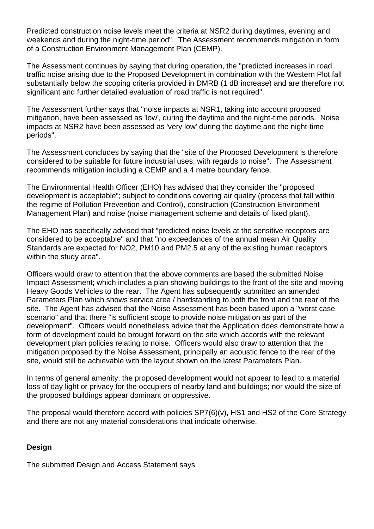Predicted construction noise levels meet the criteria at NSR2 during daytimes, evening and weekends and during the night-time period". The Assessment recommends mitigation in form of a Construction Environment Management Plan (CEMP).

The Assessment continues by saying that during operation, the "predicted increases in road traffic noise arising due to the Proposed Development in combination with the Western Plot fall substantially below the scoping criteria provided in DMRB (1 dB increase) and are therefore not significant and further detailed evaluation of road traffic is not required".

The Assessment further says that "noise impacts at NSR1, taking into account proposed mitigation, have been assessed as 'low', during the daytime and the night-time periods. Noise impacts at NSR2 have been assessed as 'very low' during the daytime and the night-time periods".

The Assessment concludes by saying that the "site of the Proposed Development is therefore considered to be suitable for future industrial uses, with regards to noise". The Assessment recommends mitigation including a CEMP and a 4 metre boundary fence.

The Environmental Health Officer (EHO) has advised that they consider the "proposed development is acceptable"; subject to conditions covering air quality (process that fall within the regime of Pollution Prevention and Control), construction (Construction Environment Management Plan) and noise (noise management scheme and details of fixed plant).

The EHO has specifically advised that "predicted noise levels at the sensitive receptors are considered to be acceptable" and that "no exceedances of the annual mean Air Quality Standards are expected for NO2, PM10 and PM2.5 at any of the existing human receptors within the study area".

Officers would draw to attention that the above comments are based the submitted Noise Impact Assessment; which includes a plan showing buildings to the front of the site and moving Heavy Goods Vehicles to the rear. The Agent has subsequently submitted an amended Parameters Plan which shows service area / hardstanding to both the front and the rear of the site. The Agent has advised that the Noise Assessment has been based upon a "worst case scenario" and that there "is sufficient scope to provide noise mitigation as part of the development". Officers would nonetheless advice that the Application does demonstrate how a form of development could be brought forward on the site which accords with the relevant development plan policies relating to noise. Officers would also draw to attention that the mitigation proposed by the Noise Assessment, principally an acoustic fence to the rear of the site, would still be achievable with the layout shown on the latest Parameters Plan.

In terms of general amenity, the proposed development would not appear to lead to a material loss of day light or privacy for the occupiers of nearby land and buildings; nor would the size of the proposed buildings appear dominant or oppressive.

The proposal would therefore accord with policies SP7(6)(v), HS1 and HS2 of the Core Strategy and there are not any material considerations that indicate otherwise.

## **Design**

The submitted Design and Access Statement says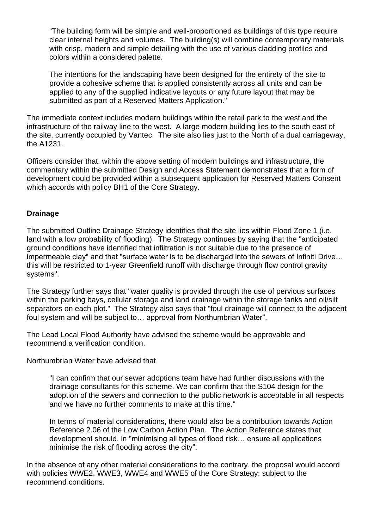"The building form will be simple and well-proportioned as buildings of this type require clear internal heights and volumes. The building(s) will combine contemporary materials with crisp, modern and simple detailing with the use of various cladding profiles and colors within a considered palette.

The intentions for the landscaping have been designed for the entirety of the site to provide a cohesive scheme that is applied consistently across all units and can be applied to any of the supplied indicative layouts or any future layout that may be submitted as part of a Reserved Matters Application."

The immediate context includes modern buildings within the retail park to the west and the infrastructure of the railway line to the west. A large modern building lies to the south east of the site, currently occupied by Vantec. The site also lies just to the North of a dual carriageway, the A1231.

Officers consider that, within the above setting of modern buildings and infrastructure, the commentary within the submitted Design and Access Statement demonstrates that a form of development could be provided within a subsequent application for Reserved Matters Consent which accords with policy BH1 of the Core Strategy.

## **Drainage**

The submitted Outline Drainage Strategy identifies that the site lies within Flood Zone 1 (i.e. land with a low probability of flooding). The Strategy continues by saying that the "anticipated ground conditions have identified that infiltration is not suitable due to the presence of impermeable clay" and that "surface water is to be discharged into the sewers of Infiniti Drive… this will be restricted to 1-year Greenfield runoff with discharge through flow control gravity systems".

The Strategy further says that "water quality is provided through the use of pervious surfaces within the parking bays, cellular storage and land drainage within the storage tanks and oil/silt separators on each plot." The Strategy also says that "foul drainage will connect to the adjacent foul system and will be subject to… approval from Northumbrian Water".

The Lead Local Flood Authority have advised the scheme would be approvable and recommend a verification condition.

Northumbrian Water have advised that

"I can confirm that our sewer adoptions team have had further discussions with the drainage consultants for this scheme. We can confirm that the S104 design for the adoption of the sewers and connection to the public network is acceptable in all respects and we have no further comments to make at this time."

In terms of material considerations, there would also be a contribution towards Action Reference 2.06 of the Low Carbon Action Plan. The Action Reference states that development should, in "minimising all types of flood risk… ensure all applications minimise the risk of flooding across the city".

In the absence of any other material considerations to the contrary, the proposal would accord with policies WWE2, WWE3, WWE4 and WWE5 of the Core Strategy; subject to the recommend conditions.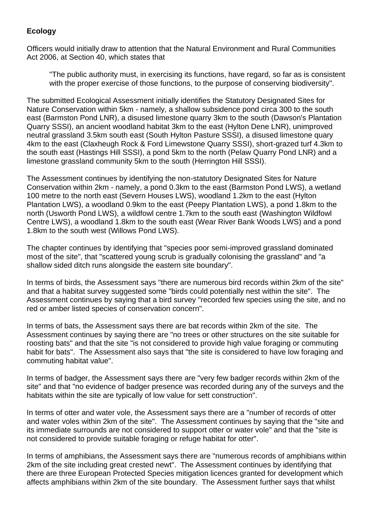# **Ecology**

Officers would initially draw to attention that the Natural Environment and Rural Communities Act 2006, at Section 40, which states that

"The public authority must, in exercising its functions, have regard, so far as is consistent with the proper exercise of those functions, to the purpose of conserving biodiversity".

The submitted Ecological Assessment initially identifies the Statutory Designated Sites for Nature Conservation within 5km - namely, a shallow subsidence pond circa 300 to the south east (Barmston Pond LNR), a disused limestone quarry 3km to the south (Dawson's Plantation Quarry SSSI), an ancient woodland habitat 3km to the east (Hylton Dene LNR), unimproved neutral grassland 3.5km south east (South Hylton Pasture SSSI), a disused limestone quary 4km to the east (Claxheugh Rock & Ford Limewstone Quarry SSSI), short-grazed turf 4.3km to the south east (Hastings Hill SSSI), a pond 5km to the north (Pelaw Quarry Pond LNR) and a limestone grassland community 5km to the south (Herrington Hill SSSI).

The Assessment continues by identifying the non-statutory Designated Sites for Nature Conservation within 2km - namely, a pond 0.3km to the east (Barmston Pond LWS), a wetland 100 metre to the north east (Severn Houses LWS), woodland 1.2km to the east (Hylton Plantation LWS), a woodland 0.9km to the east (Peepy Plantation LWS), a pond 1.8km to the north (Usworth Pond LWS), a wildfowl centre 1.7km to the south east (Washington Wildfowl Centre LWS), a woodland 1.8km to the south east (Wear River Bank Woods LWS) and a pond 1.8km to the south west (Willows Pond LWS).

The chapter continues by identifying that "species poor semi-improved grassland dominated most of the site", that "scattered young scrub is gradually colonising the grassland" and "a shallow sided ditch runs alongside the eastern site boundary".

In terms of birds, the Assessment says "there are numerous bird records within 2km of the site" and that a habitat survey suggested some "birds could potentially nest within the site". The Assessment continues by saying that a bird survey "recorded few species using the site, and no red or amber listed species of conservation concern".

In terms of bats, the Assessment says there are bat records within 2km of the site. The Assessment continues by saying there are "no trees or other structures on the site suitable for roosting bats" and that the site "is not considered to provide high value foraging or commuting habit for bats". The Assessment also says that "the site is considered to have low foraging and commuting habitat value".

In terms of badger, the Assessment says there are "very few badger records within 2km of the site" and that "no evidence of badger presence was recorded during any of the surveys and the habitats within the site are typically of low value for sett construction".

In terms of otter and water vole, the Assessment says there are a "number of records of otter and water voles within 2km of the site". The Assessment continues by saying that the "site and its immediate surrounds are not considered to support otter or water vole" and that the "site is not considered to provide suitable foraging or refuge habitat for otter".

In terms of amphibians, the Assessment says there are "numerous records of amphibians within 2km of the site including great crested newt". The Assessment continues by identifying that there are three European Protected Species mitigation licences granted for development which affects amphibians within 2km of the site boundary. The Assessment further says that whilst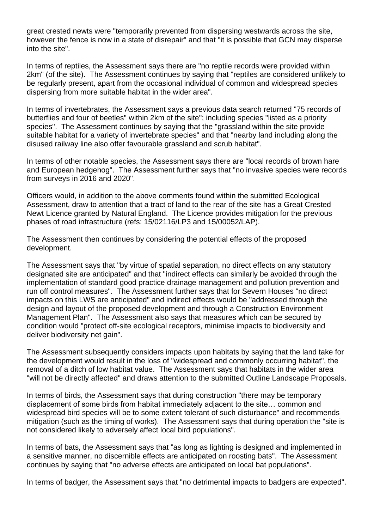great crested newts were "temporarily prevented from dispersing westwards across the site, however the fence is now in a state of disrepair" and that "it is possible that GCN may disperse into the site".

In terms of reptiles, the Assessment says there are "no reptile records were provided within 2km" (of the site). The Assessment continues by saying that "reptiles are considered unlikely to be regularly present, apart from the occasional individual of common and widespread species dispersing from more suitable habitat in the wider area".

In terms of invertebrates, the Assessment says a previous data search returned "75 records of butterflies and four of beetles" within 2km of the site"; including species "listed as a priority species". The Assessment continues by saying that the "grassland within the site provide suitable habitat for a variety of invertebrate species" and that "nearby land including along the disused railway line also offer favourable grassland and scrub habitat".

In terms of other notable species, the Assessment says there are "local records of brown hare and European hedgehog". The Assessment further says that "no invasive species were records from surveys in 2016 and 2020".

Officers would, in addition to the above comments found within the submitted Ecological Assessment, draw to attention that a tract of land to the rear of the site has a Great Crested Newt Licence granted by Natural England. The Licence provides mitigation for the previous phases of road infrastructure (refs: 15/02116/LP3 and 15/00052/LAP).

The Assessment then continues by considering the potential effects of the proposed development.

The Assessment says that "by virtue of spatial separation, no direct effects on any statutory designated site are anticipated" and that "indirect effects can similarly be avoided through the implementation of standard good practice drainage management and pollution prevention and run off control measures". The Assessment further says that for Severn Houses "no direct impacts on this LWS are anticipated" and indirect effects would be "addressed through the design and layout of the proposed development and through a Construction Environment Management Plan". The Assessment also says that measures which can be secured by condition would "protect off-site ecological receptors, minimise impacts to biodiversity and deliver biodiversity net gain".

The Assessment subsequently considers impacts upon habitats by saying that the land take for the development would result in the loss of "widespread and commonly occurring habitat", the removal of a ditch of low habitat value. The Assessment says that habitats in the wider area "will not be directly affected" and draws attention to the submitted Outline Landscape Proposals.

In terms of birds, the Assessment says that during construction "there may be temporary displacement of some birds from habitat immediately adjacent to the site… common and widespread bird species will be to some extent tolerant of such disturbance" and recommends mitigation (such as the timing of works). The Assessment says that during operation the "site is not considered likely to adversely affect local bird populations".

In terms of bats, the Assessment says that "as long as lighting is designed and implemented in a sensitive manner, no discernible effects are anticipated on roosting bats". The Assessment continues by saying that "no adverse effects are anticipated on local bat populations".

In terms of badger, the Assessment says that "no detrimental impacts to badgers are expected".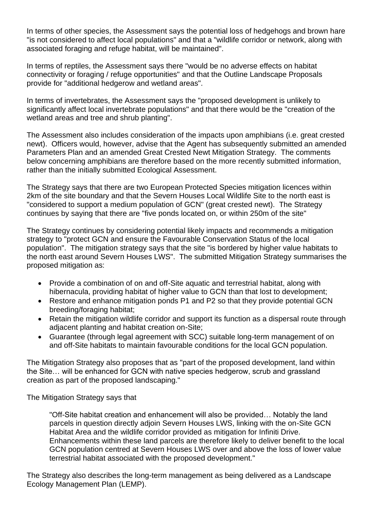In terms of other species, the Assessment says the potential loss of hedgehogs and brown hare "is not considered to affect local populations" and that a "wildlife corridor or network, along with associated foraging and refuge habitat, will be maintained".

In terms of reptiles, the Assessment says there "would be no adverse effects on habitat connectivity or foraging / refuge opportunities" and that the Outline Landscape Proposals provide for "additional hedgerow and wetland areas".

In terms of invertebrates, the Assessment says the "proposed development is unlikely to significantly affect local invertebrate populations" and that there would be the "creation of the wetland areas and tree and shrub planting".

The Assessment also includes consideration of the impacts upon amphibians (i.e. great crested newt). Officers would, however, advise that the Agent has subsequently submitted an amended Parameters Plan and an amended Great Crested Newt Mitigation Strategy. The comments below concerning amphibians are therefore based on the more recently submitted information, rather than the initially submitted Ecological Assessment.

The Strategy says that there are two European Protected Species mitigation licences within 2km of the site boundary and that the Severn Houses Local Wildlife Site to the north east is "considered to support a medium population of GCN" (great crested newt). The Strategy continues by saying that there are "five ponds located on, or within 250m of the site"

The Strategy continues by considering potential likely impacts and recommends a mitigation strategy to "protect GCN and ensure the Favourable Conservation Status of the local population". The mitigation strategy says that the site "is bordered by higher value habitats to the north east around Severn Houses LWS". The submitted Mitigation Strategy summarises the proposed mitigation as:

- Provide a combination of on and off-Site aquatic and terrestrial habitat, along with hibernacula, providing habitat of higher value to GCN than that lost to development;
- Restore and enhance mitigation ponds P1 and P2 so that they provide potential GCN breeding/foraging habitat;
- Retain the mitigation wildlife corridor and support its function as a dispersal route through adjacent planting and habitat creation on-Site;
- Guarantee (through legal agreement with SCC) suitable long-term management of on and off-Site habitats to maintain favourable conditions for the local GCN population.

The Mitigation Strategy also proposes that as "part of the proposed development, land within the Site… will be enhanced for GCN with native species hedgerow, scrub and grassland creation as part of the proposed landscaping."

The Mitigation Strategy says that

"Off-Site habitat creation and enhancement will also be provided… Notably the land parcels in question directly adjoin Severn Houses LWS, linking with the on-Site GCN Habitat Area and the wildlife corridor provided as mitigation for Infiniti Drive. Enhancements within these land parcels are therefore likely to deliver benefit to the local GCN population centred at Severn Houses LWS over and above the loss of lower value terrestrial habitat associated with the proposed development."

The Strategy also describes the long-term management as being delivered as a Landscape Ecology Management Plan (LEMP).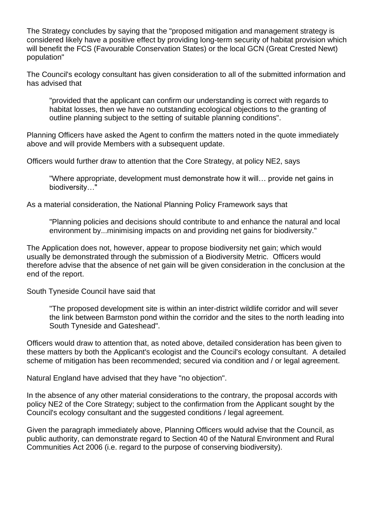The Strategy concludes by saying that the "proposed mitigation and management strategy is considered likely have a positive effect by providing long-term security of habitat provision which will benefit the FCS (Favourable Conservation States) or the local GCN (Great Crested Newt) population"

The Council's ecology consultant has given consideration to all of the submitted information and has advised that

"provided that the applicant can confirm our understanding is correct with regards to habitat losses, then we have no outstanding ecological objections to the granting of outline planning subject to the setting of suitable planning conditions".

Planning Officers have asked the Agent to confirm the matters noted in the quote immediately above and will provide Members with a subsequent update.

Officers would further draw to attention that the Core Strategy, at policy NE2, says

"Where appropriate, development must demonstrate how it will… provide net gains in biodiversity…"

As a material consideration, the National Planning Policy Framework says that

"Planning policies and decisions should contribute to and enhance the natural and local environment by...minimising impacts on and providing net gains for biodiversity."

The Application does not, however, appear to propose biodiversity net gain; which would usually be demonstrated through the submission of a Biodiversity Metric. Officers would therefore advise that the absence of net gain will be given consideration in the conclusion at the end of the report.

South Tyneside Council have said that

"The proposed development site is within an inter-district wildlife corridor and will sever the link between Barmston pond within the corridor and the sites to the north leading into South Tyneside and Gateshead".

Officers would draw to attention that, as noted above, detailed consideration has been given to these matters by both the Applicant's ecologist and the Council's ecology consultant. A detailed scheme of mitigation has been recommended; secured via condition and / or legal agreement.

Natural England have advised that they have "no objection".

In the absence of any other material considerations to the contrary, the proposal accords with policy NE2 of the Core Strategy; subject to the confirmation from the Applicant sought by the Council's ecology consultant and the suggested conditions / legal agreement.

Given the paragraph immediately above, Planning Officers would advise that the Council, as public authority, can demonstrate regard to Section 40 of the Natural Environment and Rural Communities Act 2006 (i.e. regard to the purpose of conserving biodiversity).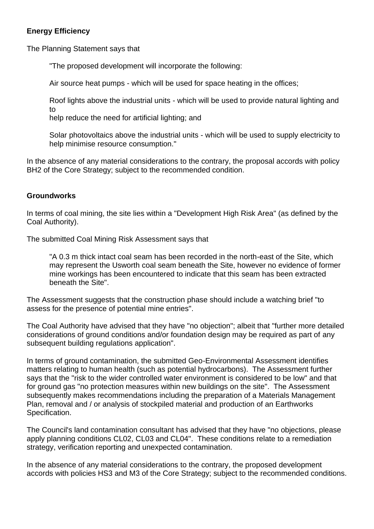## **Energy Efficiency**

The Planning Statement says that

"The proposed development will incorporate the following:

Air source heat pumps - which will be used for space heating in the offices;

Roof lights above the industrial units - which will be used to provide natural lighting and to

help reduce the need for artificial lighting; and

Solar photovoltaics above the industrial units - which will be used to supply electricity to help minimise resource consumption."

In the absence of any material considerations to the contrary, the proposal accords with policy BH2 of the Core Strategy; subject to the recommended condition.

## **Groundworks**

In terms of coal mining, the site lies within a "Development High Risk Area" (as defined by the Coal Authority).

The submitted Coal Mining Risk Assessment says that

"A 0.3 m thick intact coal seam has been recorded in the north-east of the Site, which may represent the Usworth coal seam beneath the Site, however no evidence of former mine workings has been encountered to indicate that this seam has been extracted beneath the Site".

The Assessment suggests that the construction phase should include a watching brief "to assess for the presence of potential mine entries".

The Coal Authority have advised that they have "no objection"; albeit that "further more detailed considerations of ground conditions and/or foundation design may be required as part of any subsequent building regulations application".

In terms of ground contamination, the submitted Geo-Environmental Assessment identifies matters relating to human health (such as potential hydrocarbons). The Assessment further says that the "risk to the wider controlled water environment is considered to be low" and that for ground gas "no protection measures within new buildings on the site". The Assessment subsequently makes recommendations including the preparation of a Materials Management Plan, removal and / or analysis of stockpiled material and production of an Earthworks Specification.

The Council's land contamination consultant has advised that they have "no objections, please apply planning conditions CL02, CL03 and CL04". These conditions relate to a remediation strategy, verification reporting and unexpected contamination.

In the absence of any material considerations to the contrary, the proposed development accords with policies HS3 and M3 of the Core Strategy; subject to the recommended conditions.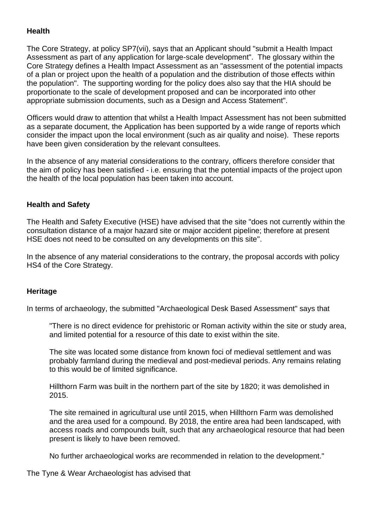## **Health**

The Core Strategy, at policy SP7(vii), says that an Applicant should "submit a Health Impact Assessment as part of any application for large-scale development". The glossary within the Core Strategy defines a Health Impact Assessment as an "assessment of the potential impacts of a plan or project upon the health of a population and the distribution of those effects within the population". The supporting wording for the policy does also say that the HIA should be proportionate to the scale of development proposed and can be incorporated into other appropriate submission documents, such as a Design and Access Statement".

Officers would draw to attention that whilst a Health Impact Assessment has not been submitted as a separate document, the Application has been supported by a wide range of reports which consider the impact upon the local environment (such as air quality and noise). These reports have been given consideration by the relevant consultees.

In the absence of any material considerations to the contrary, officers therefore consider that the aim of policy has been satisfied - i.e. ensuring that the potential impacts of the project upon the health of the local population has been taken into account.

## **Health and Safety**

The Health and Safety Executive (HSE) have advised that the site "does not currently within the consultation distance of a major hazard site or major accident pipeline; therefore at present HSE does not need to be consulted on any developments on this site".

In the absence of any material considerations to the contrary, the proposal accords with policy HS4 of the Core Strategy.

## **Heritage**

In terms of archaeology, the submitted "Archaeological Desk Based Assessment" says that

"There is no direct evidence for prehistoric or Roman activity within the site or study area, and limited potential for a resource of this date to exist within the site.

The site was located some distance from known foci of medieval settlement and was probably farmland during the medieval and post-medieval periods. Any remains relating to this would be of limited significance.

Hillthorn Farm was built in the northern part of the site by 1820; it was demolished in 2015.

The site remained in agricultural use until 2015, when Hillthorn Farm was demolished and the area used for a compound. By 2018, the entire area had been landscaped, with access roads and compounds built, such that any archaeological resource that had been present is likely to have been removed.

No further archaeological works are recommended in relation to the development."

The Tyne & Wear Archaeologist has advised that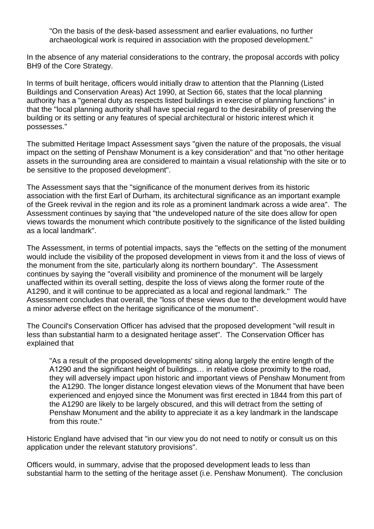"On the basis of the desk-based assessment and earlier evaluations, no further archaeological work is required in association with the proposed development."

In the absence of any material considerations to the contrary, the proposal accords with policy BH9 of the Core Strategy.

In terms of built heritage, officers would initially draw to attention that the Planning (Listed Buildings and Conservation Areas) Act 1990, at Section 66, states that the local planning authority has a "general duty as respects listed buildings in exercise of planning functions" in that the "local planning authority shall have special regard to the desirability of preserving the building or its setting or any features of special architectural or historic interest which it possesses."

The submitted Heritage Impact Assessment says "given the nature of the proposals, the visual impact on the setting of Penshaw Monument is a key consideration" and that "no other heritage assets in the surrounding area are considered to maintain a visual relationship with the site or to be sensitive to the proposed development".

The Assessment says that the "significance of the monument derives from its historic association with the first Earl of Durham, its architectural significance as an important example of the Greek revival in the region and its role as a prominent landmark across a wide area". The Assessment continues by saying that "the undeveloped nature of the site does allow for open views towards the monument which contribute positively to the significance of the listed building as a local landmark".

The Assessment, in terms of potential impacts, says the "effects on the setting of the monument would include the visibility of the proposed development in views from it and the loss of views of the monument from the site, particularly along its northern boundary". The Assessment continues by saying the "overall visibility and prominence of the monument will be largely unaffected within its overall setting, despite the loss of views along the former route of the A1290, and it will continue to be appreciated as a local and regional landmark." The Assessment concludes that overall, the "loss of these views due to the development would have a minor adverse effect on the heritage significance of the monument".

The Council's Conservation Officer has advised that the proposed development "will result in less than substantial harm to a designated heritage asset". The Conservation Officer has explained that

"As a result of the proposed developments' siting along largely the entire length of the A1290 and the significant height of buildings… in relative close proximity to the road, they will adversely impact upon historic and important views of Penshaw Monument from the A1290. The longer distance longest elevation views of the Monument that have been experienced and enjoyed since the Monument was first erected in 1844 from this part of the A1290 are likely to be largely obscured, and this will detract from the setting of Penshaw Monument and the ability to appreciate it as a key landmark in the landscape from this route."

Historic England have advised that "in our view you do not need to notify or consult us on this application under the relevant statutory provisions".

Officers would, in summary, advise that the proposed development leads to less than substantial harm to the setting of the heritage asset (i.e. Penshaw Monument). The conclusion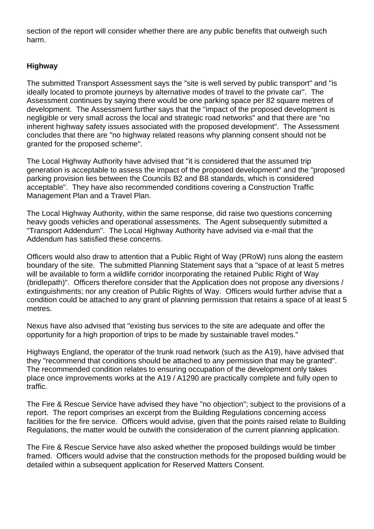section of the report will consider whether there are any public benefits that outweigh such harm.

# **Highway**

The submitted Transport Assessment says the "site is well served by public transport" and "is ideally located to promote journeys by alternative modes of travel to the private car". The Assessment continues by saying there would be one parking space per 82 square metres of development. The Assessment further says that the "impact of the proposed development is negligible or very small across the local and strategic road networks" and that there are "no inherent highway safety issues associated with the proposed development". The Assessment concludes that there are "no highway related reasons why planning consent should not be granted for the proposed scheme".

The Local Highway Authority have advised that "it is considered that the assumed trip generation is acceptable to assess the impact of the proposed development" and the "proposed parking provision lies between the Councils B2 and B8 standards, which is considered acceptable". They have also recommended conditions covering a Construction Traffic Management Plan and a Travel Plan.

The Local Highway Authority, within the same response, did raise two questions concerning heavy goods vehicles and operational assessments. The Agent subsequently submitted a "Transport Addendum". The Local Highway Authority have advised via e-mail that the Addendum has satisfied these concerns.

Officers would also draw to attention that a Public Right of Way (PRoW) runs along the eastern boundary of the site. The submitted Planning Statement says that a "space of at least 5 metres will be available to form a wildlife corridor incorporating the retained Public Right of Way (bridlepath)". Officers therefore consider that the Application does not propose any diversions / extinguishments; nor any creation of Public Rights of Way. Officers would further advise that a condition could be attached to any grant of planning permission that retains a space of at least 5 metres.

Nexus have also advised that "existing bus services to the site are adequate and offer the opportunity for a high proportion of trips to be made by sustainable travel modes."

Highways England, the operator of the trunk road network (such as the A19), have advised that they "recommend that conditions should be attached to any permission that may be granted". The recommended condition relates to ensuring occupation of the development only takes place once improvements works at the A19 / A1290 are practically complete and fully open to traffic.

The Fire & Rescue Service have advised they have "no objection"; subject to the provisions of a report. The report comprises an excerpt from the Building Regulations concerning access facilities for the fire service. Officers would advise, given that the points raised relate to Building Regulations, the matter would be outwith the consideration of the current planning application.

The Fire & Rescue Service have also asked whether the proposed buildings would be timber framed. Officers would advise that the construction methods for the proposed building would be detailed within a subsequent application for Reserved Matters Consent.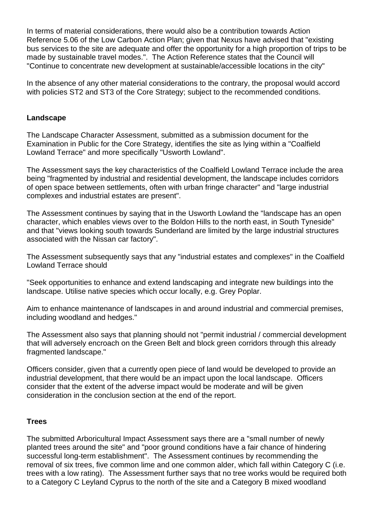In terms of material considerations, there would also be a contribution towards Action Reference 5.06 of the Low Carbon Action Plan; given that Nexus have advised that "existing bus services to the site are adequate and offer the opportunity for a high proportion of trips to be made by sustainable travel modes.". The Action Reference states that the Council will "Continue to concentrate new development at sustainable/accessible locations in the city"

In the absence of any other material considerations to the contrary, the proposal would accord with policies ST2 and ST3 of the Core Strategy; subject to the recommended conditions.

## **Landscape**

The Landscape Character Assessment, submitted as a submission document for the Examination in Public for the Core Strategy, identifies the site as lying within a "Coalfield Lowland Terrace" and more specifically "Usworth Lowland".

The Assessment says the key characteristics of the Coalfield Lowland Terrace include the area being "fragmented by industrial and residential development, the landscape includes corridors of open space between settlements, often with urban fringe character" and "large industrial complexes and industrial estates are present".

The Assessment continues by saying that in the Usworth Lowland the "landscape has an open character, which enables views over to the Boldon Hills to the north east, in South Tyneside" and that "views looking south towards Sunderland are limited by the large industrial structures associated with the Nissan car factory".

The Assessment subsequently says that any "industrial estates and complexes" in the Coalfield Lowland Terrace should

"Seek opportunities to enhance and extend landscaping and integrate new buildings into the landscape. Utilise native species which occur locally, e.g. Grey Poplar.

Aim to enhance maintenance of landscapes in and around industrial and commercial premises, including woodland and hedges."

The Assessment also says that planning should not "permit industrial / commercial development that will adversely encroach on the Green Belt and block green corridors through this already fragmented landscape."

Officers consider, given that a currently open piece of land would be developed to provide an industrial development, that there would be an impact upon the local landscape. Officers consider that the extent of the adverse impact would be moderate and will be given consideration in the conclusion section at the end of the report.

## **Trees**

The submitted Arboricultural Impact Assessment says there are a "small number of newly planted trees around the site" and "poor ground conditions have a fair chance of hindering successful long-term establishment". The Assessment continues by recommending the removal of six trees, five common lime and one common alder, which fall within Category C (i.e. trees with a low rating). The Assessment further says that no tree works would be required both to a Category C Leyland Cyprus to the north of the site and a Category B mixed woodland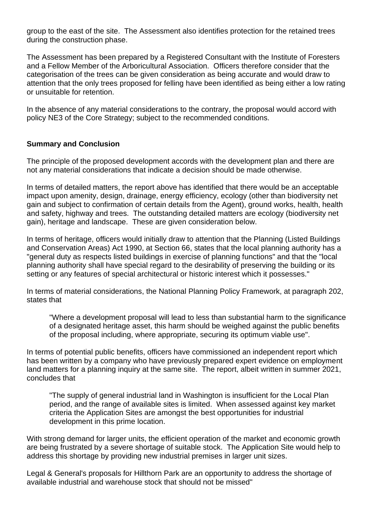group to the east of the site. The Assessment also identifies protection for the retained trees during the construction phase.

The Assessment has been prepared by a Registered Consultant with the Institute of Foresters and a Fellow Member of the Arboricultural Association. Officers therefore consider that the categorisation of the trees can be given consideration as being accurate and would draw to attention that the only trees proposed for felling have been identified as being either a low rating or unsuitable for retention.

In the absence of any material considerations to the contrary, the proposal would accord with policy NE3 of the Core Strategy; subject to the recommended conditions.

## **Summary and Conclusion**

The principle of the proposed development accords with the development plan and there are not any material considerations that indicate a decision should be made otherwise.

In terms of detailed matters, the report above has identified that there would be an acceptable impact upon amenity, design, drainage, energy efficiency, ecology (other than biodiversity net gain and subject to confirmation of certain details from the Agent), ground works, health, health and safety, highway and trees. The outstanding detailed matters are ecology (biodiversity net gain), heritage and landscape. These are given consideration below.

In terms of heritage, officers would initially draw to attention that the Planning (Listed Buildings and Conservation Areas) Act 1990, at Section 66, states that the local planning authority has a "general duty as respects listed buildings in exercise of planning functions" and that the "local planning authority shall have special regard to the desirability of preserving the building or its setting or any features of special architectural or historic interest which it possesses."

In terms of material considerations, the National Planning Policy Framework, at paragraph 202, states that

"Where a development proposal will lead to less than substantial harm to the significance of a designated heritage asset, this harm should be weighed against the public benefits of the proposal including, where appropriate, securing its optimum viable use".

In terms of potential public benefits, officers have commissioned an independent report which has been written by a company who have previously prepared expert evidence on employment land matters for a planning inquiry at the same site. The report, albeit written in summer 2021, concludes that

"The supply of general industrial land in Washington is insufficient for the Local Plan period, and the range of available sites is limited. When assessed against key market criteria the Application Sites are amongst the best opportunities for industrial development in this prime location.

With strong demand for larger units, the efficient operation of the market and economic growth are being frustrated by a severe shortage of suitable stock. The Application Site would help to address this shortage by providing new industrial premises in larger unit sizes.

Legal & General's proposals for Hillthorn Park are an opportunity to address the shortage of available industrial and warehouse stock that should not be missed"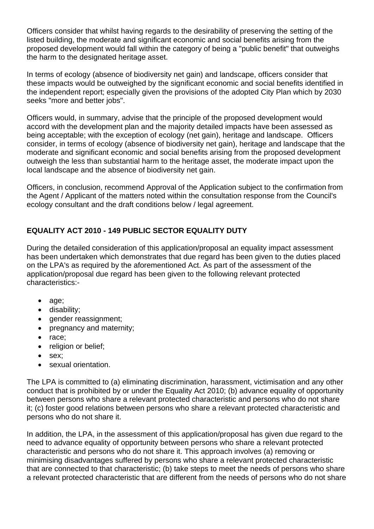Officers consider that whilst having regards to the desirability of preserving the setting of the listed building, the moderate and significant economic and social benefits arising from the proposed development would fall within the category of being a "public benefit" that outweighs the harm to the designated heritage asset.

In terms of ecology (absence of biodiversity net gain) and landscape, officers consider that these impacts would be outweighed by the significant economic and social benefits identified in the independent report; especially given the provisions of the adopted City Plan which by 2030 seeks "more and better jobs".

Officers would, in summary, advise that the principle of the proposed development would accord with the development plan and the majority detailed impacts have been assessed as being acceptable; with the exception of ecology (net gain), heritage and landscape. Officers consider, in terms of ecology (absence of biodiversity net gain), heritage and landscape that the moderate and significant economic and social benefits arising from the proposed development outweigh the less than substantial harm to the heritage asset, the moderate impact upon the local landscape and the absence of biodiversity net gain.

Officers, in conclusion, recommend Approval of the Application subject to the confirmation from the Agent / Applicant of the matters noted within the consultation response from the Council's ecology consultant and the draft conditions below / legal agreement.

# **EQUALITY ACT 2010 - 149 PUBLIC SECTOR EQUALITY DUTY**

During the detailed consideration of this application/proposal an equality impact assessment has been undertaken which demonstrates that due regard has been given to the duties placed on the LPA's as required by the aforementioned Act. As part of the assessment of the application/proposal due regard has been given to the following relevant protected characteristics:-

- age;
- disability;
- gender reassignment;
- pregnancy and maternity;
- race;
- religion or belief;
- sex;
- sexual orientation.

The LPA is committed to (a) eliminating discrimination, harassment, victimisation and any other conduct that is prohibited by or under the Equality Act 2010; (b) advance equality of opportunity between persons who share a relevant protected characteristic and persons who do not share it; (c) foster good relations between persons who share a relevant protected characteristic and persons who do not share it.

In addition, the LPA, in the assessment of this application/proposal has given due regard to the need to advance equality of opportunity between persons who share a relevant protected characteristic and persons who do not share it. This approach involves (a) removing or minimising disadvantages suffered by persons who share a relevant protected characteristic that are connected to that characteristic; (b) take steps to meet the needs of persons who share a relevant protected characteristic that are different from the needs of persons who do not share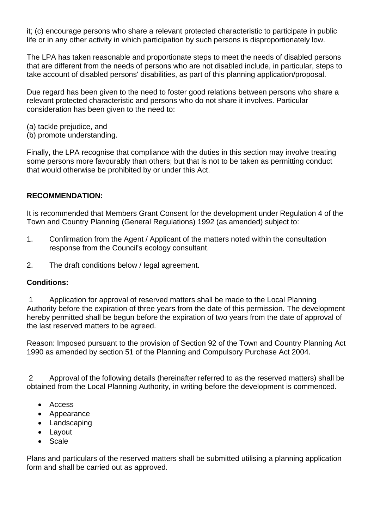it; (c) encourage persons who share a relevant protected characteristic to participate in public life or in any other activity in which participation by such persons is disproportionately low.

The LPA has taken reasonable and proportionate steps to meet the needs of disabled persons that are different from the needs of persons who are not disabled include, in particular, steps to take account of disabled persons' disabilities, as part of this planning application/proposal.

Due regard has been given to the need to foster good relations between persons who share a relevant protected characteristic and persons who do not share it involves. Particular consideration has been given to the need to:

- (a) tackle prejudice, and
- (b) promote understanding.

Finally, the LPA recognise that compliance with the duties in this section may involve treating some persons more favourably than others; but that is not to be taken as permitting conduct that would otherwise be prohibited by or under this Act.

## **RECOMMENDATION:**

It is recommended that Members Grant Consent for the development under Regulation 4 of the Town and Country Planning (General Regulations) 1992 (as amended) subject to:

- 1. Confirmation from the Agent / Applicant of the matters noted within the consultation response from the Council's ecology consultant.
- 2. The draft conditions below / legal agreement.

## **Conditions:**

1 Application for approval of reserved matters shall be made to the Local Planning Authority before the expiration of three years from the date of this permission. The development hereby permitted shall be begun before the expiration of two years from the date of approval of the last reserved matters to be agreed.

Reason: Imposed pursuant to the provision of Section 92 of the Town and Country Planning Act 1990 as amended by section 51 of the Planning and Compulsory Purchase Act 2004.

2 Approval of the following details (hereinafter referred to as the reserved matters) shall be obtained from the Local Planning Authority, in writing before the development is commenced.

- Access
- Appearance
- Landscaping
- Layout
- Scale

Plans and particulars of the reserved matters shall be submitted utilising a planning application form and shall be carried out as approved.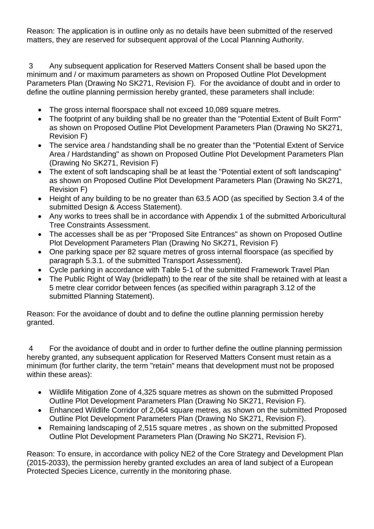Reason: The application is in outline only as no details have been submitted of the reserved matters, they are reserved for subsequent approval of the Local Planning Authority.

3 Any subsequent application for Reserved Matters Consent shall be based upon the minimum and / or maximum parameters as shown on Proposed Outline Plot Development Parameters Plan (Drawing No SK271, Revision F). For the avoidance of doubt and in order to define the outline planning permission hereby granted, these parameters shall include:

- The gross internal floorspace shall not exceed 10,089 square metres.
- The footprint of any building shall be no greater than the "Potential Extent of Built Form" as shown on Proposed Outline Plot Development Parameters Plan (Drawing No SK271, Revision F)
- The service area / handstanding shall be no greater than the "Potential Extent of Service Area / Hardstanding" as shown on Proposed Outline Plot Development Parameters Plan (Drawing No SK271, Revision F)
- The extent of soft landscaping shall be at least the "Potential extent of soft landscaping" as shown on Proposed Outline Plot Development Parameters Plan (Drawing No SK271, Revision F)
- Height of any building to be no greater than 63.5 AOD (as specified by Section 3.4 of the submitted Design & Access Statement).
- Any works to trees shall be in accordance with Appendix 1 of the submitted Arboricultural Tree Constraints Assessment.
- The accesses shall be as per "Proposed Site Entrances" as shown on Proposed Outline Plot Development Parameters Plan (Drawing No SK271, Revision F)
- One parking space per 82 square metres of gross internal floorspace (as specified by paragraph 5.3.1. of the submitted Transport Assessment).
- Cycle parking in accordance with Table 5-1 of the submitted Framework Travel Plan
- The Public Right of Way (bridlepath) to the rear of the site shall be retained with at least a 5 metre clear corridor between fences (as specified within paragraph 3.12 of the submitted Planning Statement).

Reason: For the avoidance of doubt and to define the outline planning permission hereby granted.

4 For the avoidance of doubt and in order to further define the outline planning permission hereby granted, any subsequent application for Reserved Matters Consent must retain as a minimum (for further clarity, the term "retain" means that development must not be proposed within these areas):

- Wildlife Mitigation Zone of 4,325 square metres as shown on the submitted Proposed Outline Plot Development Parameters Plan (Drawing No SK271, Revision F).
- Enhanced Wildlife Corridor of 2,064 square metres, as shown on the submitted Proposed Outline Plot Development Parameters Plan (Drawing No SK271, Revision F).
- Remaining landscaping of 2,515 square metres , as shown on the submitted Proposed Outline Plot Development Parameters Plan (Drawing No SK271, Revision F).

Reason: To ensure, in accordance with policy NE2 of the Core Strategy and Development Plan (2015-2033), the permission hereby granted excludes an area of land subject of a European Protected Species Licence, currently in the monitoring phase.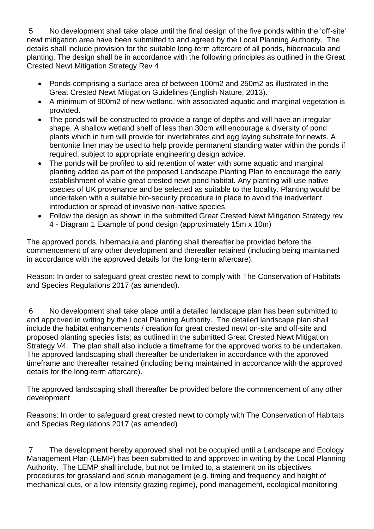5 No development shall take place until the final design of the five ponds within the 'off-site' newt mitigation area have been submitted to and agreed by the Local Planning Authority. The details shall include provision for the suitable long-term aftercare of all ponds, hibernacula and planting. The design shall be in accordance with the following principles as outlined in the Great Crested Newt Mitigation Strategy Rev 4

- Ponds comprising a surface area of between 100m2 and 250m2 as illustrated in the Great Crested Newt Mitigation Guidelines (English Nature, 2013).
- A minimum of 900m2 of new wetland, with associated aquatic and marginal vegetation is provided.
- The ponds will be constructed to provide a range of depths and will have an irregular shape. A shallow wetland shelf of less than 30cm will encourage a diversity of pond plants which in turn will provide for invertebrates and egg laying substrate for newts. A bentonite liner may be used to help provide permanent standing water within the ponds if required, subject to appropriate engineering design advice.
- The ponds will be profiled to aid retention of water with some aquatic and marginal planting added as part of the proposed Landscape Planting Plan to encourage the early establishment of viable great crested newt pond habitat. Any planting will use native species of UK provenance and be selected as suitable to the locality. Planting would be undertaken with a suitable bio-security procedure in place to avoid the inadvertent introduction or spread of invasive non-native species.
- Follow the design as shown in the submitted Great Crested Newt Mitigation Strategy rev 4 - Diagram 1 Example of pond design (approximately 15m x 10m)

The approved ponds, hibernacula and planting shall thereafter be provided before the commencement of any other development and thereafter retained (including being maintained in accordance with the approved details for the long-term aftercare).

Reason: In order to safeguard great crested newt to comply with The Conservation of Habitats and Species Regulations 2017 (as amended).

6 No development shall take place until a detailed landscape plan has been submitted to and approved in writing by the Local Planning Authority. The detailed landscape plan shall include the habitat enhancements / creation for great crested newt on-site and off-site and proposed planting species lists; as outlined in the submitted Great Crested Newt Mitigation Strategy V4. The plan shall also include a timeframe for the approved works to be undertaken. The approved landscaping shall thereafter be undertaken in accordance with the approved timeframe and thereafter retained (including being maintained in accordance with the approved details for the long-term aftercare).

The approved landscaping shall thereafter be provided before the commencement of any other development

Reasons: In order to safeguard great crested newt to comply with The Conservation of Habitats and Species Regulations 2017 (as amended)

7 The development hereby approved shall not be occupied until a Landscape and Ecology Management Plan (LEMP) has been submitted to and approved in writing by the Local Planning Authority. The LEMP shall include, but not be limited to, a statement on its objectives, procedures for grassland and scrub management (e.g. timing and frequency and height of mechanical cuts, or a low intensity grazing regime), pond management, ecological monitoring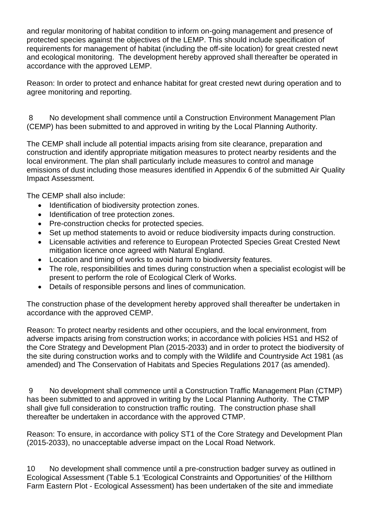and regular monitoring of habitat condition to inform on-going management and presence of protected species against the objectives of the LEMP. This should include specification of requirements for management of habitat (including the off-site location) for great crested newt and ecological monitoring. The development hereby approved shall thereafter be operated in accordance with the approved LEMP.

Reason: In order to protect and enhance habitat for great crested newt during operation and to agree monitoring and reporting.

8 No development shall commence until a Construction Environment Management Plan (CEMP) has been submitted to and approved in writing by the Local Planning Authority.

The CEMP shall include all potential impacts arising from site clearance, preparation and construction and identify appropriate mitigation measures to protect nearby residents and the local environment. The plan shall particularly include measures to control and manage emissions of dust including those measures identified in Appendix 6 of the submitted Air Quality Impact Assessment.

The CEMP shall also include:

- Identification of biodiversity protection zones.
- Identification of tree protection zones.
- Pre-construction checks for protected species.
- Set up method statements to avoid or reduce biodiversity impacts during construction.
- Licensable activities and reference to European Protected Species Great Crested Newt mitigation licence once agreed with Natural England.
- Location and timing of works to avoid harm to biodiversity features.
- The role, responsibilities and times during construction when a specialist ecologist will be present to perform the role of Ecological Clerk of Works.
- Details of responsible persons and lines of communication.

The construction phase of the development hereby approved shall thereafter be undertaken in accordance with the approved CEMP.

Reason: To protect nearby residents and other occupiers, and the local environment, from adverse impacts arising from construction works; in accordance with policies HS1 and HS2 of the Core Strategy and Development Plan (2015-2033) and in order to protect the biodiversity of the site during construction works and to comply with the Wildlife and Countryside Act 1981 (as amended) and The Conservation of Habitats and Species Regulations 2017 (as amended).

9 No development shall commence until a Construction Traffic Management Plan (CTMP) has been submitted to and approved in writing by the Local Planning Authority. The CTMP shall give full consideration to construction traffic routing. The construction phase shall thereafter be undertaken in accordance with the approved CTMP.

Reason: To ensure, in accordance with policy ST1 of the Core Strategy and Development Plan (2015-2033), no unacceptable adverse impact on the Local Road Network.

10 No development shall commence until a pre-construction badger survey as outlined in Ecological Assessment (Table 5.1 'Ecological Constraints and Opportunities' of the Hillthorn Farm Eastern Plot - Ecological Assessment) has been undertaken of the site and immediate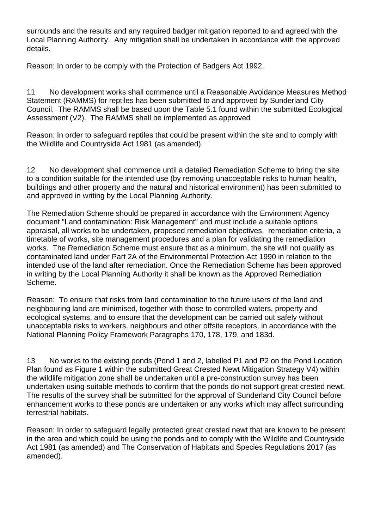surrounds and the results and any required badger mitigation reported to and agreed with the Local Planning Authority. Any mitigation shall be undertaken in accordance with the approved details.

Reason: In order to be comply with the Protection of Badgers Act 1992.

11 No development works shall commence until a Reasonable Avoidance Measures Method Statement (RAMMS) for reptiles has been submitted to and approved by Sunderland City Council. The RAMMS shall be based upon the Table 5.1 found within the submitted Ecological Assessment (V2). The RAMMS shall be implemented as approved

Reason: In order to safeguard reptiles that could be present within the site and to comply with the Wildlife and Countryside Act 1981 (as amended).

12 No development shall commence until a detailed Remediation Scheme to bring the site to a condition suitable for the intended use (by removing unacceptable risks to human health, buildings and other property and the natural and historical environment) has been submitted to and approved in writing by the Local Planning Authority.

The Remediation Scheme should be prepared in accordance with the Environment Agency document "Land contamination: Risk Management" and must include a suitable options appraisal, all works to be undertaken, proposed remediation objectives, remediation criteria, a timetable of works, site management procedures and a plan for validating the remediation works. The Remediation Scheme must ensure that as a minimum, the site will not qualify as contaminated land under Part 2A of the Environmental Protection Act 1990 in relation to the intended use of the land after remediation. Once the Remediation Scheme has been approved in writing by the Local Planning Authority it shall be known as the Approved Remediation Scheme.

Reason: To ensure that risks from land contamination to the future users of the land and neighbouring land are minimised, together with those to controlled waters, property and ecological systems, and to ensure that the development can be carried out safely without unacceptable risks to workers, neighbours and other offsite receptors, in accordance with the National Planning Policy Framework Paragraphs 170, 178, 179, and 183d.

13 No works to the existing ponds (Pond 1 and 2, labelled P1 and P2 on the Pond Location Plan found as Figure 1 within the submitted Great Crested Newt Mitigation Strategy V4) within the wildlife mitigation zone shall be undertaken until a pre-construction survey has been undertaken using suitable methods to confirm that the ponds do not support great crested newt. The results of the survey shall be submitted for the approval of Sunderland City Council before enhancement works to these ponds are undertaken or any works which may affect surrounding terrestrial habitats.

Reason: In order to safeguard legally protected great crested newt that are known to be present in the area and which could be using the ponds and to comply with the Wildlife and Countryside Act 1981 (as amended) and The Conservation of Habitats and Species Regulations 2017 (as amended).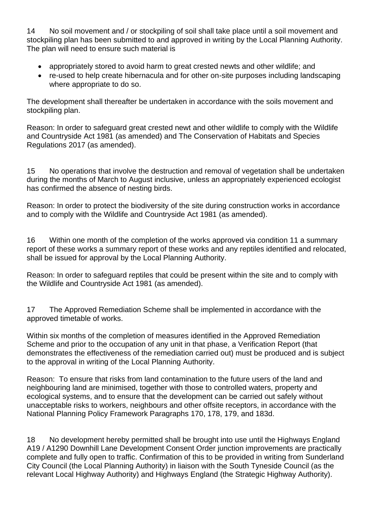14 No soil movement and / or stockpiling of soil shall take place until a soil movement and stockpiling plan has been submitted to and approved in writing by the Local Planning Authority. The plan will need to ensure such material is

- appropriately stored to avoid harm to great crested newts and other wildlife; and
- re-used to help create hibernacula and for other on-site purposes including landscaping where appropriate to do so.

The development shall thereafter be undertaken in accordance with the soils movement and stockpiling plan.

Reason: In order to safeguard great crested newt and other wildlife to comply with the Wildlife and Countryside Act 1981 (as amended) and The Conservation of Habitats and Species Regulations 2017 (as amended).

15 No operations that involve the destruction and removal of vegetation shall be undertaken during the months of March to August inclusive, unless an appropriately experienced ecologist has confirmed the absence of nesting birds.

Reason: In order to protect the biodiversity of the site during construction works in accordance and to comply with the Wildlife and Countryside Act 1981 (as amended).

16 Within one month of the completion of the works approved via condition 11 a summary report of these works a summary report of these works and any reptiles identified and relocated, shall be issued for approval by the Local Planning Authority.

Reason: In order to safeguard reptiles that could be present within the site and to comply with the Wildlife and Countryside Act 1981 (as amended).

17 The Approved Remediation Scheme shall be implemented in accordance with the approved timetable of works.

Within six months of the completion of measures identified in the Approved Remediation Scheme and prior to the occupation of any unit in that phase, a Verification Report (that demonstrates the effectiveness of the remediation carried out) must be produced and is subject to the approval in writing of the Local Planning Authority.

Reason: To ensure that risks from land contamination to the future users of the land and neighbouring land are minimised, together with those to controlled waters, property and ecological systems, and to ensure that the development can be carried out safely without unacceptable risks to workers, neighbours and other offsite receptors, in accordance with the National Planning Policy Framework Paragraphs 170, 178, 179, and 183d.

18 No development hereby permitted shall be brought into use until the Highways England A19 / A1290 Downhill Lane Development Consent Order junction improvements are practically complete and fully open to traffic. Confirmation of this to be provided in writing from Sunderland City Council (the Local Planning Authority) in liaison with the South Tyneside Council (as the relevant Local Highway Authority) and Highways England (the Strategic Highway Authority).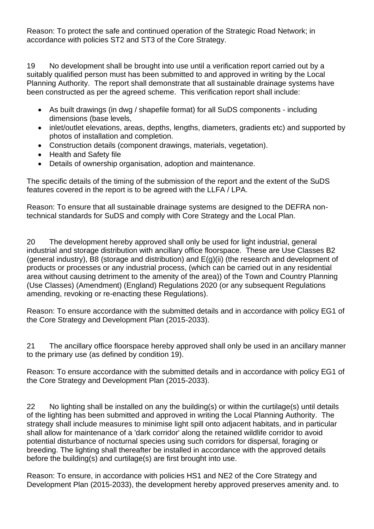Reason: To protect the safe and continued operation of the Strategic Road Network; in accordance with policies ST2 and ST3 of the Core Strategy.

19 No development shall be brought into use until a verification report carried out by a suitably qualified person must has been submitted to and approved in writing by the Local Planning Authority. The report shall demonstrate that all sustainable drainage systems have been constructed as per the agreed scheme. This verification report shall include:

- As built drawings (in dwg / shapefile format) for all SuDS components including dimensions (base levels,
- inlet/outlet elevations, areas, depths, lengths, diameters, gradients etc) and supported by photos of installation and completion.
- Construction details (component drawings, materials, vegetation).
- Health and Safety file
- Details of ownership organisation, adoption and maintenance.

The specific details of the timing of the submission of the report and the extent of the SuDS features covered in the report is to be agreed with the LLFA / LPA.

Reason: To ensure that all sustainable drainage systems are designed to the DEFRA nontechnical standards for SuDS and comply with Core Strategy and the Local Plan.

20 The development hereby approved shall only be used for light industrial, general industrial and storage distribution with ancillary office floorspace. These are Use Classes B2 (general industry), B8 (storage and distribution) and E(g)(ii) (the research and development of products or processes or any industrial process, (which can be carried out in any residential area without causing detriment to the amenity of the area)) of the Town and Country Planning (Use Classes) (Amendment) (England) Regulations 2020 (or any subsequent Regulations amending, revoking or re-enacting these Regulations).

Reason: To ensure accordance with the submitted details and in accordance with policy EG1 of the Core Strategy and Development Plan (2015-2033).

21 The ancillary office floorspace hereby approved shall only be used in an ancillary manner to the primary use (as defined by condition 19).

Reason: To ensure accordance with the submitted details and in accordance with policy EG1 of the Core Strategy and Development Plan (2015-2033).

22 No lighting shall be installed on any the building(s) or within the curtilage(s) until details of the lighting has been submitted and approved in writing the Local Planning Authority. The strategy shall include measures to minimise light spill onto adjacent habitats, and in particular shall allow for maintenance of a 'dark corridor' along the retained wildlife corridor to avoid potential disturbance of nocturnal species using such corridors for dispersal, foraging or breeding. The lighting shall thereafter be installed in accordance with the approved details before the building(s) and curtilage(s) are first brought into use.

Reason: To ensure, in accordance with policies HS1 and NE2 of the Core Strategy and Development Plan (2015-2033), the development hereby approved preserves amenity and. to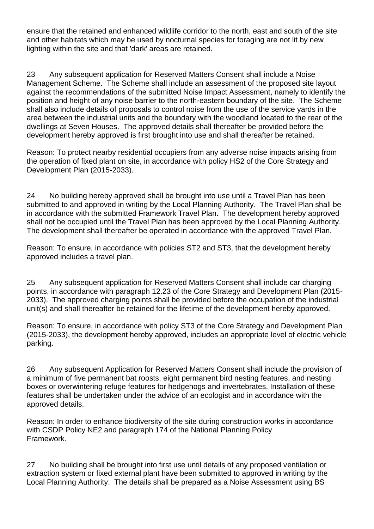ensure that the retained and enhanced wildlife corridor to the north, east and south of the site and other habitats which may be used by nocturnal species for foraging are not lit by new lighting within the site and that 'dark' areas are retained.

23 Any subsequent application for Reserved Matters Consent shall include a Noise Management Scheme. The Scheme shall include an assessment of the proposed site layout against the recommendations of the submitted Noise Impact Assessment, namely to identify the position and height of any noise barrier to the north-eastern boundary of the site. The Scheme shall also include details of proposals to control noise from the use of the service yards in the area between the industrial units and the boundary with the woodland located to the rear of the dwellings at Seven Houses. The approved details shall thereafter be provided before the development hereby approved is first brought into use and shall thereafter be retained.

Reason: To protect nearby residential occupiers from any adverse noise impacts arising from the operation of fixed plant on site, in accordance with policy HS2 of the Core Strategy and Development Plan (2015-2033).

24 No building hereby approved shall be brought into use until a Travel Plan has been submitted to and approved in writing by the Local Planning Authority. The Travel Plan shall be in accordance with the submitted Framework Travel Plan. The development hereby approved shall not be occupied until the Travel Plan has been approved by the Local Planning Authority. The development shall thereafter be operated in accordance with the approved Travel Plan.

Reason: To ensure, in accordance with policies ST2 and ST3, that the development hereby approved includes a travel plan.

25 Any subsequent application for Reserved Matters Consent shall include car charging points, in accordance with paragraph 12.23 of the Core Strategy and Development Plan (2015- 2033). The approved charging points shall be provided before the occupation of the industrial unit(s) and shall thereafter be retained for the lifetime of the development hereby approved.

Reason: To ensure, in accordance with policy ST3 of the Core Strategy and Development Plan (2015-2033), the development hereby approved, includes an appropriate level of electric vehicle parking.

26 Any subsequent Application for Reserved Matters Consent shall include the provision of a minimum of five permanent bat roosts, eight permanent bird nesting features, and nesting boxes or overwintering refuge features for hedgehogs and invertebrates. Installation of these features shall be undertaken under the advice of an ecologist and in accordance with the approved details.

Reason: In order to enhance biodiversity of the site during construction works in accordance with CSDP Policy NE2 and paragraph 174 of the National Planning Policy Framework.

27 No building shall be brought into first use until details of any proposed ventilation or extraction system or fixed external plant have been submitted to approved in writing by the Local Planning Authority. The details shall be prepared as a Noise Assessment using BS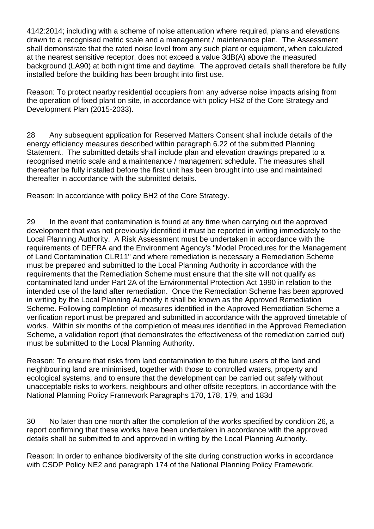4142:2014; including with a scheme of noise attenuation where required, plans and elevations drawn to a recognised metric scale and a management / maintenance plan. The Assessment shall demonstrate that the rated noise level from any such plant or equipment, when calculated at the nearest sensitive receptor, does not exceed a value 3dB(A) above the measured background (LA90) at both night time and daytime. The approved details shall therefore be fully installed before the building has been brought into first use.

Reason: To protect nearby residential occupiers from any adverse noise impacts arising from the operation of fixed plant on site, in accordance with policy HS2 of the Core Strategy and Development Plan (2015-2033).

28 Any subsequent application for Reserved Matters Consent shall include details of the energy efficiency measures described within paragraph 6.22 of the submitted Planning Statement. The submitted details shall include plan and elevation drawings prepared to a recognised metric scale and a maintenance / management schedule. The measures shall thereafter be fully installed before the first unit has been brought into use and maintained thereafter in accordance with the submitted details.

Reason: In accordance with policy BH2 of the Core Strategy.

29 In the event that contamination is found at any time when carrying out the approved development that was not previously identified it must be reported in writing immediately to the Local Planning Authority. A Risk Assessment must be undertaken in accordance with the requirements of DEFRA and the Environment Agency's "Model Procedures for the Management of Land Contamination CLR11" and where remediation is necessary a Remediation Scheme must be prepared and submitted to the Local Planning Authority in accordance with the requirements that the Remediation Scheme must ensure that the site will not qualify as contaminated land under Part 2A of the Environmental Protection Act 1990 in relation to the intended use of the land after remediation. Once the Remediation Scheme has been approved in writing by the Local Planning Authority it shall be known as the Approved Remediation Scheme. Following completion of measures identified in the Approved Remediation Scheme a verification report must be prepared and submitted in accordance with the approved timetable of works. Within six months of the completion of measures identified in the Approved Remediation Scheme, a validation report (that demonstrates the effectiveness of the remediation carried out) must be submitted to the Local Planning Authority.

Reason: To ensure that risks from land contamination to the future users of the land and neighbouring land are minimised, together with those to controlled waters, property and ecological systems, and to ensure that the development can be carried out safely without unacceptable risks to workers, neighbours and other offsite receptors, in accordance with the National Planning Policy Framework Paragraphs 170, 178, 179, and 183d

30 No later than one month after the completion of the works specified by condition 26, a report confirming that these works have been undertaken in accordance with the approved details shall be submitted to and approved in writing by the Local Planning Authority.

Reason: In order to enhance biodiversity of the site during construction works in accordance with CSDP Policy NE2 and paragraph 174 of the National Planning Policy Framework.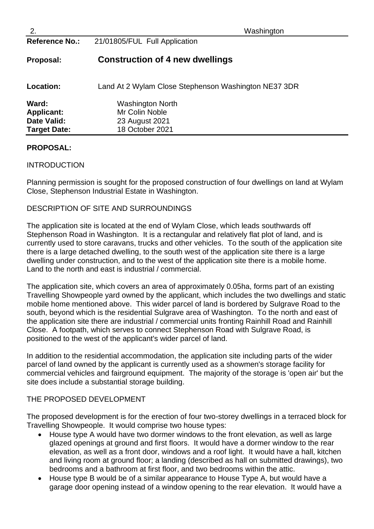| 2.                    | Washington                                           |
|-----------------------|------------------------------------------------------|
| <b>Reference No.:</b> | 21/01805/FUL Full Application                        |
| Proposal:             | <b>Construction of 4 new dwellings</b>               |
| Location:             | Land At 2 Wylam Close Stephenson Washington NE37 3DR |
| Ward:                 | <b>Washington North</b>                              |
| <b>Applicant:</b>     | Mr Colin Noble                                       |
| <b>Date Valid:</b>    | 23 August 2021                                       |
| <b>Target Date:</b>   | 18 October 2021                                      |

## **PROPOSAL:**

### INTRODUCTION

Planning permission is sought for the proposed construction of four dwellings on land at Wylam Close, Stephenson Industrial Estate in Washington.

## DESCRIPTION OF SITE AND SURROUNDINGS

The application site is located at the end of Wylam Close, which leads southwards off Stephenson Road in Washington. It is a rectangular and relatively flat plot of land, and is currently used to store caravans, trucks and other vehicles. To the south of the application site there is a large detached dwelling, to the south west of the application site there is a large dwelling under construction, and to the west of the application site there is a mobile home. Land to the north and east is industrial / commercial.

The application site, which covers an area of approximately 0.05ha, forms part of an existing Travelling Showpeople yard owned by the applicant, which includes the two dwellings and static mobile home mentioned above. This wider parcel of land is bordered by Sulgrave Road to the south, beyond which is the residential Sulgrave area of Washington. To the north and east of the application site there are industrial / commercial units fronting Rainhill Road and Rainhill Close. A footpath, which serves to connect Stephenson Road with Sulgrave Road, is positioned to the west of the applicant's wider parcel of land.

In addition to the residential accommodation, the application site including parts of the wider parcel of land owned by the applicant is currently used as a showmen's storage facility for commercial vehicles and fairground equipment. The majority of the storage is 'open air' but the site does include a substantial storage building.

#### THE PROPOSED DEVELOPMENT

The proposed development is for the erection of four two-storey dwellings in a terraced block for Travelling Showpeople. It would comprise two house types:

- House type A would have two dormer windows to the front elevation, as well as large glazed openings at ground and first floors. It would have a dormer window to the rear elevation, as well as a front door, windows and a roof light. It would have a hall, kitchen and living room at ground floor; a landing (described as hall on submitted drawings), two bedrooms and a bathroom at first floor, and two bedrooms within the attic.
- House type B would be of a similar appearance to House Type A, but would have a garage door opening instead of a window opening to the rear elevation. It would have a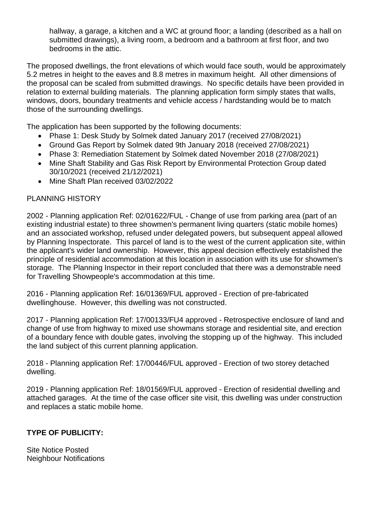hallway, a garage, a kitchen and a WC at ground floor; a landing (described as a hall on submitted drawings), a living room, a bedroom and a bathroom at first floor, and two bedrooms in the attic.

The proposed dwellings, the front elevations of which would face south, would be approximately 5.2 metres in height to the eaves and 8.8 metres in maximum height. All other dimensions of the proposal can be scaled from submitted drawings. No specific details have been provided in relation to external building materials. The planning application form simply states that walls, windows, doors, boundary treatments and vehicle access / hardstanding would be to match those of the surrounding dwellings.

The application has been supported by the following documents:

- Phase 1: Desk Study by Solmek dated January 2017 (received 27/08/2021)
- Ground Gas Report by Solmek dated 9th January 2018 (received 27/08/2021)
- Phase 3: Remediation Statement by Solmek dated November 2018 (27/08/2021)
- Mine Shaft Stability and Gas Risk Report by Environmental Protection Group dated 30/10/2021 (received 21/12/2021)
- Mine Shaft Plan received 03/02/2022

## PLANNING HISTORY

2002 - Planning application Ref: 02/01622/FUL - Change of use from parking area (part of an existing industrial estate) to three showmen's permanent living quarters (static mobile homes) and an associated workshop, refused under delegated powers, but subsequent appeal allowed by Planning Inspectorate. This parcel of land is to the west of the current application site, within the applicant's wider land ownership. However, this appeal decision effectively established the principle of residential accommodation at this location in association with its use for showmen's storage. The Planning Inspector in their report concluded that there was a demonstrable need for Travelling Showpeople's accommodation at this time.

2016 - Planning application Ref: 16/01369/FUL approved - Erection of pre-fabricated dwellinghouse. However, this dwelling was not constructed.

2017 - Planning application Ref: 17/00133/FU4 approved - Retrospective enclosure of land and change of use from highway to mixed use showmans storage and residential site, and erection of a boundary fence with double gates, involving the stopping up of the highway. This included the land subject of this current planning application.

2018 - Planning application Ref: 17/00446/FUL approved - Erection of two storey detached dwelling.

2019 - Planning application Ref: 18/01569/FUL approved - Erection of residential dwelling and attached garages. At the time of the case officer site visit, this dwelling was under construction and replaces a static mobile home.

## **TYPE OF PUBLICITY:**

Site Notice Posted Neighbour Notifications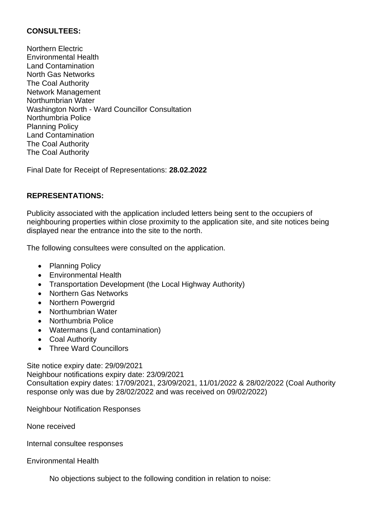## **CONSULTEES:**

Northern Electric Environmental Health Land Contamination North Gas Networks The Coal Authority Network Management Northumbrian Water Washington North - Ward Councillor Consultation Northumbria Police Planning Policy Land Contamination The Coal Authority The Coal Authority

Final Date for Receipt of Representations: **28.02.2022**

## **REPRESENTATIONS:**

Publicity associated with the application included letters being sent to the occupiers of neighbouring properties within close proximity to the application site, and site notices being displayed near the entrance into the site to the north.

The following consultees were consulted on the application.

- Planning Policy
- Environmental Health
- Transportation Development (the Local Highway Authority)
- Northern Gas Networks
- Northern Powergrid
- Northumbrian Water
- Northumbria Police
- Watermans (Land contamination)
- Coal Authority
- Three Ward Councillors

Site notice expiry date: 29/09/2021 Neighbour notifications expiry date: 23/09/2021 Consultation expiry dates: 17/09/2021, 23/09/2021, 11/01/2022 & 28/02/2022 (Coal Authority response only was due by 28/02/2022 and was received on 09/02/2022)

Neighbour Notification Responses

None received

Internal consultee responses

Environmental Health

No objections subject to the following condition in relation to noise: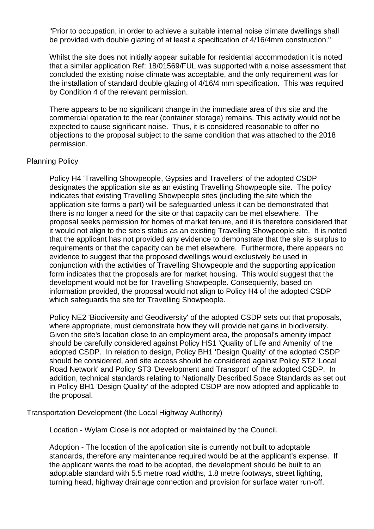"Prior to occupation, in order to achieve a suitable internal noise climate dwellings shall be provided with double glazing of at least a specification of 4/16/4mm construction."

Whilst the site does not initially appear suitable for residential accommodation it is noted that a similar application Ref: 18/01569/FUL was supported with a noise assessment that concluded the existing noise climate was acceptable, and the only requirement was for the installation of standard double glazing of 4/16/4 mm specification. This was required by Condition 4 of the relevant permission.

There appears to be no significant change in the immediate area of this site and the commercial operation to the rear (container storage) remains. This activity would not be expected to cause significant noise. Thus, it is considered reasonable to offer no objections to the proposal subject to the same condition that was attached to the 2018 permission.

### Planning Policy

Policy H4 'Travelling Showpeople, Gypsies and Travellers' of the adopted CSDP designates the application site as an existing Travelling Showpeople site. The policy indicates that existing Travelling Showpeople sites (including the site which the application site forms a part) will be safeguarded unless it can be demonstrated that there is no longer a need for the site or that capacity can be met elsewhere. The proposal seeks permission for homes of market tenure, and it is therefore considered that it would not align to the site's status as an existing Travelling Showpeople site. It is noted that the applicant has not provided any evidence to demonstrate that the site is surplus to requirements or that the capacity can be met elsewhere. Furthermore, there appears no evidence to suggest that the proposed dwellings would exclusively be used in conjunction with the activities of Travelling Showpeople and the supporting application form indicates that the proposals are for market housing. This would suggest that the development would not be for Travelling Showpeople. Consequently, based on information provided, the proposal would not align to Policy H4 of the adopted CSDP which safeguards the site for Travelling Showpeople.

Policy NE2 'Biodiversity and Geodiversity' of the adopted CSDP sets out that proposals, where appropriate, must demonstrate how they will provide net gains in biodiversity. Given the site's location close to an employment area, the proposal's amenity impact should be carefully considered against Policy HS1 'Quality of Life and Amenity' of the adopted CSDP. In relation to design, Policy BH1 'Design Quality' of the adopted CSDP should be considered, and site access should be considered against Policy ST2 'Local Road Network' and Policy ST3 'Development and Transport' of the adopted CSDP. In addition, technical standards relating to Nationally Described Space Standards as set out in Policy BH1 'Design Quality' of the adopted CSDP are now adopted and applicable to the proposal.

Transportation Development (the Local Highway Authority)

Location - Wylam Close is not adopted or maintained by the Council.

Adoption - The location of the application site is currently not built to adoptable standards, therefore any maintenance required would be at the applicant's expense. If the applicant wants the road to be adopted, the development should be built to an adoptable standard with 5.5 metre road widths, 1.8 metre footways, street lighting, turning head, highway drainage connection and provision for surface water run-off.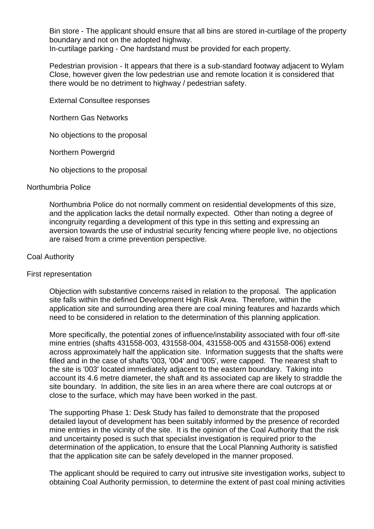Bin store - The applicant should ensure that all bins are stored in-curtilage of the property boundary and not on the adopted highway.

In-curtilage parking - One hardstand must be provided for each property.

Pedestrian provision - It appears that there is a sub-standard footway adjacent to Wylam Close, however given the low pedestrian use and remote location it is considered that there would be no detriment to highway / pedestrian safety.

External Consultee responses

Northern Gas Networks

No objections to the proposal

Northern Powergrid

No objections to the proposal

#### Northumbria Police

Northumbria Police do not normally comment on residential developments of this size, and the application lacks the detail normally expected. Other than noting a degree of incongruity regarding a development of this type in this setting and expressing an aversion towards the use of industrial security fencing where people live, no objections are raised from a crime prevention perspective.

### Coal Authority

#### First representation

Objection with substantive concerns raised in relation to the proposal. The application site falls within the defined Development High Risk Area. Therefore, within the application site and surrounding area there are coal mining features and hazards which need to be considered in relation to the determination of this planning application.

More specifically, the potential zones of influence/instability associated with four off-site mine entries (shafts 431558-003, 431558-004, 431558-005 and 431558-006) extend across approximately half the application site. Information suggests that the shafts were filled and in the case of shafts '003, '004' and '005', were capped. The nearest shaft to the site is '003' located immediately adjacent to the eastern boundary. Taking into account its 4.6 metre diameter, the shaft and its associated cap are likely to straddle the site boundary. In addition, the site lies in an area where there are coal outcrops at or close to the surface, which may have been worked in the past.

The supporting Phase 1: Desk Study has failed to demonstrate that the proposed detailed layout of development has been suitably informed by the presence of recorded mine entries in the vicinity of the site. It is the opinion of the Coal Authority that the risk and uncertainty posed is such that specialist investigation is required prior to the determination of the application, to ensure that the Local Planning Authority is satisfied that the application site can be safely developed in the manner proposed.

The applicant should be required to carry out intrusive site investigation works, subject to obtaining Coal Authority permission, to determine the extent of past coal mining activities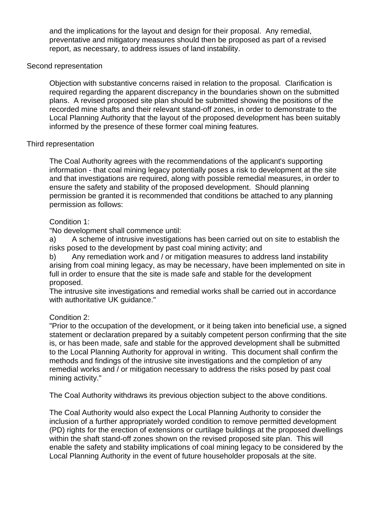and the implications for the layout and design for their proposal. Any remedial, preventative and mitigatory measures should then be proposed as part of a revised report, as necessary, to address issues of land instability.

### Second representation

Objection with substantive concerns raised in relation to the proposal. Clarification is required regarding the apparent discrepancy in the boundaries shown on the submitted plans. A revised proposed site plan should be submitted showing the positions of the recorded mine shafts and their relevant stand-off zones, in order to demonstrate to the Local Planning Authority that the layout of the proposed development has been suitably informed by the presence of these former coal mining features.

### Third representation

The Coal Authority agrees with the recommendations of the applicant's supporting information - that coal mining legacy potentially poses a risk to development at the site and that investigations are required, along with possible remedial measures, in order to ensure the safety and stability of the proposed development. Should planning permission be granted it is recommended that conditions be attached to any planning permission as follows:

## Condition 1:

"No development shall commence until:

a) A scheme of intrusive investigations has been carried out on site to establish the risks posed to the development by past coal mining activity; and

b) Any remediation work and / or mitigation measures to address land instability arising from coal mining legacy, as may be necessary, have been implemented on site in full in order to ensure that the site is made safe and stable for the development proposed.

The intrusive site investigations and remedial works shall be carried out in accordance with authoritative UK quidance."

## Condition 2:

"Prior to the occupation of the development, or it being taken into beneficial use, a signed statement or declaration prepared by a suitably competent person confirming that the site is, or has been made, safe and stable for the approved development shall be submitted to the Local Planning Authority for approval in writing. This document shall confirm the methods and findings of the intrusive site investigations and the completion of any remedial works and / or mitigation necessary to address the risks posed by past coal mining activity."

The Coal Authority withdraws its previous objection subject to the above conditions.

The Coal Authority would also expect the Local Planning Authority to consider the inclusion of a further appropriately worded condition to remove permitted development (PD) rights for the erection of extensions or curtilage buildings at the proposed dwellings within the shaft stand-off zones shown on the revised proposed site plan. This will enable the safety and stability implications of coal mining legacy to be considered by the Local Planning Authority in the event of future householder proposals at the site.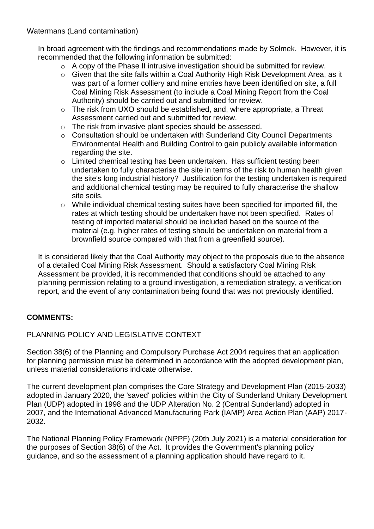Watermans (Land contamination)

In broad agreement with the findings and recommendations made by Solmek. However, it is recommended that the following information be submitted:

- o A copy of the Phase II intrusive investigation should be submitted for review.
- o Given that the site falls within a Coal Authority High Risk Development Area, as it was part of a former colliery and mine entries have been identified on site, a full Coal Mining Risk Assessment (to include a Coal Mining Report from the Coal Authority) should be carried out and submitted for review.
- o The risk from UXO should be established, and, where appropriate, a Threat Assessment carried out and submitted for review.
- o The risk from invasive plant species should be assessed.
- o Consultation should be undertaken with Sunderland City Council Departments Environmental Health and Building Control to gain publicly available information regarding the site.
- o Limited chemical testing has been undertaken. Has sufficient testing been undertaken to fully characterise the site in terms of the risk to human health given the site's long industrial history? Justification for the testing undertaken is required and additional chemical testing may be required to fully characterise the shallow site soils.
- o While individual chemical testing suites have been specified for imported fill, the rates at which testing should be undertaken have not been specified. Rates of testing of imported material should be included based on the source of the material (e.g. higher rates of testing should be undertaken on material from a brownfield source compared with that from a greenfield source).

It is considered likely that the Coal Authority may object to the proposals due to the absence of a detailed Coal Mining Risk Assessment. Should a satisfactory Coal Mining Risk Assessment be provided, it is recommended that conditions should be attached to any planning permission relating to a ground investigation, a remediation strategy, a verification report, and the event of any contamination being found that was not previously identified.

## **COMMENTS:**

## PLANNING POLICY AND LEGISLATIVE CONTEXT

Section 38(6) of the Planning and Compulsory Purchase Act 2004 requires that an application for planning permission must be determined in accordance with the adopted development plan, unless material considerations indicate otherwise.

The current development plan comprises the Core Strategy and Development Plan (2015-2033) adopted in January 2020, the 'saved' policies within the City of Sunderland Unitary Development Plan (UDP) adopted in 1998 and the UDP Alteration No. 2 (Central Sunderland) adopted in 2007, and the International Advanced Manufacturing Park (IAMP) Area Action Plan (AAP) 2017- 2032.

The National Planning Policy Framework (NPPF) (20th July 2021) is a material consideration for the purposes of Section 38(6) of the Act. It provides the Government's planning policy guidance, and so the assessment of a planning application should have regard to it.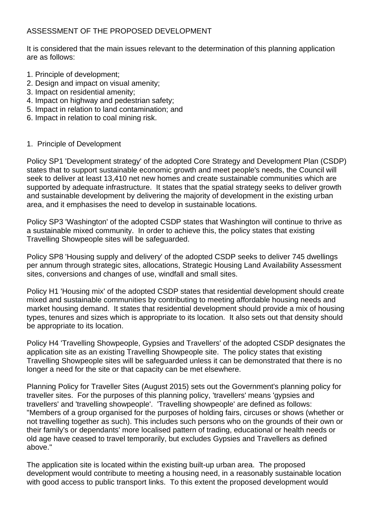## ASSESSMENT OF THE PROPOSED DEVELOPMENT

It is considered that the main issues relevant to the determination of this planning application are as follows:

- 1. Principle of development;
- 2. Design and impact on visual amenity;
- 3. Impact on residential amenity;
- 4. Impact on highway and pedestrian safety;
- 5. Impact in relation to land contamination; and
- 6. Impact in relation to coal mining risk.

## 1. Principle of Development

Policy SP1 'Development strategy' of the adopted Core Strategy and Development Plan (CSDP) states that to support sustainable economic growth and meet people's needs, the Council will seek to deliver at least 13,410 net new homes and create sustainable communities which are supported by adequate infrastructure. It states that the spatial strategy seeks to deliver growth and sustainable development by delivering the majority of development in the existing urban area, and it emphasises the need to develop in sustainable locations.

Policy SP3 'Washington' of the adopted CSDP states that Washington will continue to thrive as a sustainable mixed community. In order to achieve this, the policy states that existing Travelling Showpeople sites will be safeguarded.

Policy SP8 'Housing supply and delivery' of the adopted CSDP seeks to deliver 745 dwellings per annum through strategic sites, allocations, Strategic Housing Land Availability Assessment sites, conversions and changes of use, windfall and small sites.

Policy H1 'Housing mix' of the adopted CSDP states that residential development should create mixed and sustainable communities by contributing to meeting affordable housing needs and market housing demand. It states that residential development should provide a mix of housing types, tenures and sizes which is appropriate to its location. It also sets out that density should be appropriate to its location.

Policy H4 'Travelling Showpeople, Gypsies and Travellers' of the adopted CSDP designates the application site as an existing Travelling Showpeople site. The policy states that existing Travelling Showpeople sites will be safeguarded unless it can be demonstrated that there is no longer a need for the site or that capacity can be met elsewhere.

Planning Policy for Traveller Sites (August 2015) sets out the Government's planning policy for traveller sites. For the purposes of this planning policy, 'travellers' means 'gypsies and travellers' and 'travelling showpeople'. 'Travelling showpeople' are defined as follows: "Members of a group organised for the purposes of holding fairs, circuses or shows (whether or not travelling together as such). This includes such persons who on the grounds of their own or their family's or dependants' more localised pattern of trading, educational or health needs or old age have ceased to travel temporarily, but excludes Gypsies and Travellers as defined above."

The application site is located within the existing built-up urban area. The proposed development would contribute to meeting a housing need, in a reasonably sustainable location with good access to public transport links. To this extent the proposed development would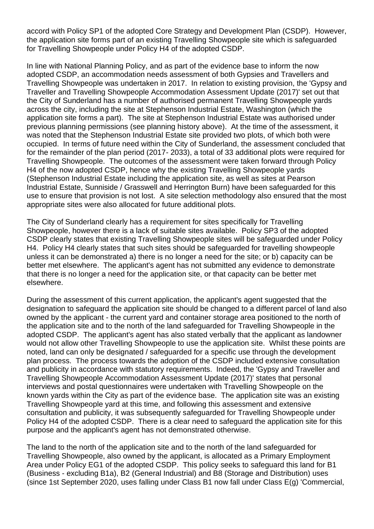accord with Policy SP1 of the adopted Core Strategy and Development Plan (CSDP). However, the application site forms part of an existing Travelling Showpeople site which is safeguarded for Travelling Showpeople under Policy H4 of the adopted CSDP.

In line with National Planning Policy, and as part of the evidence base to inform the now adopted CSDP, an accommodation needs assessment of both Gypsies and Travellers and Travelling Showpeople was undertaken in 2017. In relation to existing provision, the 'Gypsy and Traveller and Travelling Showpeople Accommodation Assessment Update (2017)' set out that the City of Sunderland has a number of authorised permanent Travelling Showpeople yards across the city, including the site at Stephenson Industrial Estate, Washington (which the application site forms a part). The site at Stephenson Industrial Estate was authorised under previous planning permissions (see planning history above). At the time of the assessment, it was noted that the Stephenson Industrial Estate site provided two plots, of which both were occupied. In terms of future need within the City of Sunderland, the assessment concluded that for the remainder of the plan period (2017- 2033), a total of 33 additional plots were required for Travelling Showpeople. The outcomes of the assessment were taken forward through Policy H4 of the now adopted CSDP, hence why the existing Travelling Showpeople yards (Stephenson Industrial Estate including the application site, as well as sites at Pearson Industrial Estate, Sunniside / Grasswell and Herrington Burn) have been safeguarded for this use to ensure that provision is not lost. A site selection methodology also ensured that the most appropriate sites were also allocated for future additional plots.

The City of Sunderland clearly has a requirement for sites specifically for Travelling Showpeople, however there is a lack of suitable sites available. Policy SP3 of the adopted CSDP clearly states that existing Travelling Showpeople sites will be safeguarded under Policy H4. Policy H4 clearly states that such sites should be safeguarded for travelling showpeople unless it can be demonstrated a) there is no longer a need for the site; or b) capacity can be better met elsewhere. The applicant's agent has not submitted any evidence to demonstrate that there is no longer a need for the application site, or that capacity can be better met elsewhere.

During the assessment of this current application, the applicant's agent suggested that the designation to safeguard the application site should be changed to a different parcel of land also owned by the applicant - the current yard and container storage area positioned to the north of the application site and to the north of the land safeguarded for Travelling Showpeople in the adopted CSDP. The applicant's agent has also stated verbally that the applicant as landowner would not allow other Travelling Showpeople to use the application site. Whilst these points are noted, land can only be designated / safeguarded for a specific use through the development plan process. The process towards the adoption of the CSDP included extensive consultation and publicity in accordance with statutory requirements. Indeed, the 'Gypsy and Traveller and Travelling Showpeople Accommodation Assessment Update (2017)' states that personal interviews and postal questionnaires were undertaken with Travelling Showpeople on the known yards within the City as part of the evidence base. The application site was an existing Travelling Showpeople yard at this time, and following this assessment and extensive consultation and publicity, it was subsequently safeguarded for Travelling Showpeople under Policy H4 of the adopted CSDP. There is a clear need to safeguard the application site for this purpose and the applicant's agent has not demonstrated otherwise.

The land to the north of the application site and to the north of the land safeguarded for Travelling Showpeople, also owned by the applicant, is allocated as a Primary Employment Area under Policy EG1 of the adopted CSDP. This policy seeks to safeguard this land for B1 (Business - excluding B1a), B2 (General Industrial) and B8 (Storage and Distribution) uses (since 1st September 2020, uses falling under Class B1 now fall under Class E(g) 'Commercial,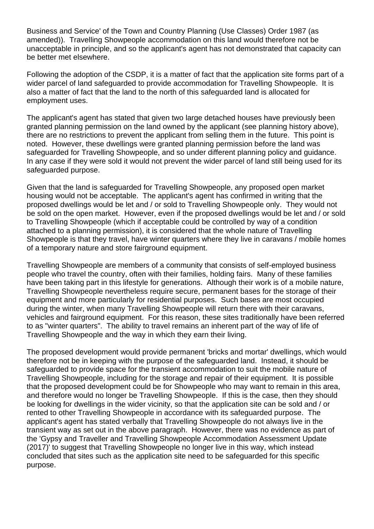Business and Service' of the Town and Country Planning (Use Classes) Order 1987 (as amended)). Travelling Showpeople accommodation on this land would therefore not be unacceptable in principle, and so the applicant's agent has not demonstrated that capacity can be better met elsewhere.

Following the adoption of the CSDP, it is a matter of fact that the application site forms part of a wider parcel of land safeguarded to provide accommodation for Travelling Showpeople. It is also a matter of fact that the land to the north of this safeguarded land is allocated for employment uses.

The applicant's agent has stated that given two large detached houses have previously been granted planning permission on the land owned by the applicant (see planning history above), there are no restrictions to prevent the applicant from selling them in the future. This point is noted. However, these dwellings were granted planning permission before the land was safeguarded for Travelling Showpeople, and so under different planning policy and guidance. In any case if they were sold it would not prevent the wider parcel of land still being used for its safeguarded purpose.

Given that the land is safeguarded for Travelling Showpeople, any proposed open market housing would not be acceptable. The applicant's agent has confirmed in writing that the proposed dwellings would be let and / or sold to Travelling Showpeople only. They would not be sold on the open market. However, even if the proposed dwellings would be let and / or sold to Travelling Showpeople (which if acceptable could be controlled by way of a condition attached to a planning permission), it is considered that the whole nature of Travelling Showpeople is that they travel, have winter quarters where they live in caravans / mobile homes of a temporary nature and store fairground equipment.

Travelling Showpeople are members of a community that consists of self-employed business people who travel the country, often with their families, holding fairs. Many of these families have been taking part in this lifestyle for generations. Although their work is of a mobile nature, Travelling Showpeople nevertheless require secure, permanent bases for the storage of their equipment and more particularly for residential purposes. Such bases are most occupied during the winter, when many Travelling Showpeople will return there with their caravans, vehicles and fairground equipment. For this reason, these sites traditionally have been referred to as "winter quarters". The ability to travel remains an inherent part of the way of life of Travelling Showpeople and the way in which they earn their living.

The proposed development would provide permanent 'bricks and mortar' dwellings, which would therefore not be in keeping with the purpose of the safeguarded land. Instead, it should be safeguarded to provide space for the transient accommodation to suit the mobile nature of Travelling Showpeople, including for the storage and repair of their equipment. It is possible that the proposed development could be for Showpeople who may want to remain in this area, and therefore would no longer be Travelling Showpeople. If this is the case, then they should be looking for dwellings in the wider vicinity, so that the application site can be sold and / or rented to other Travelling Showpeople in accordance with its safeguarded purpose. The applicant's agent has stated verbally that Travelling Showpeople do not always live in the transient way as set out in the above paragraph. However, there was no evidence as part of the 'Gypsy and Traveller and Travelling Showpeople Accommodation Assessment Update (2017)' to suggest that Travelling Showpeople no longer live in this way, which instead concluded that sites such as the application site need to be safeguarded for this specific purpose.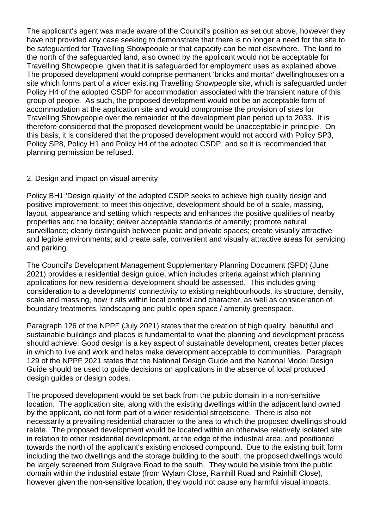The applicant's agent was made aware of the Council's position as set out above, however they have not provided any case seeking to demonstrate that there is no longer a need for the site to be safeguarded for Travelling Showpeople or that capacity can be met elsewhere. The land to the north of the safeguarded land, also owned by the applicant would not be acceptable for Travelling Showpeople, given that it is safeguarded for employment uses as explained above. The proposed development would comprise permanent 'bricks and mortar' dwellinghouses on a site which forms part of a wider existing Travelling Showpeople site, which is safeguarded under Policy H4 of the adopted CSDP for accommodation associated with the transient nature of this group of people. As such, the proposed development would not be an acceptable form of accommodation at the application site and would compromise the provision of sites for Travelling Showpeople over the remainder of the development plan period up to 2033. It is therefore considered that the proposed development would be unacceptable in principle. On this basis, it is considered that the proposed development would not accord with Policy SP3, Policy SP8, Policy H1 and Policy H4 of the adopted CSDP, and so it is recommended that planning permission be refused.

## 2. Design and impact on visual amenity

Policy BH1 'Design quality' of the adopted CSDP seeks to achieve high quality design and positive improvement; to meet this objective, development should be of a scale, massing, layout, appearance and setting which respects and enhances the positive qualities of nearby properties and the locality; deliver acceptable standards of amenity; promote natural surveillance; clearly distinguish between public and private spaces; create visually attractive and legible environments; and create safe, convenient and visually attractive areas for servicing and parking.

The Council's Development Management Supplementary Planning Document (SPD) (June 2021) provides a residential design guide, which includes criteria against which planning applications for new residential development should be assessed. This includes giving consideration to a developments' connectivity to existing neighbourhoods, its structure, density, scale and massing, how it sits within local context and character, as well as consideration of boundary treatments, landscaping and public open space / amenity greenspace.

Paragraph 126 of the NPPF (July 2021) states that the creation of high quality, beautiful and sustainable buildings and places is fundamental to what the planning and development process should achieve. Good design is a key aspect of sustainable development, creates better places in which to live and work and helps make development acceptable to communities. Paragraph 129 of the NPPF 2021 states that the National Design Guide and the National Model Design Guide should be used to guide decisions on applications in the absence of local produced design guides or design codes.

The proposed development would be set back from the public domain in a non-sensitive location. The application site, along with the existing dwellings within the adjacent land owned by the applicant, do not form part of a wider residential streetscene. There is also not necessarily a prevailing residential character to the area to which the proposed dwellings should relate. The proposed development would be located within an otherwise relatively isolated site in relation to other residential development, at the edge of the industrial area, and positioned towards the north of the applicant's existing enclosed compound. Due to the existing built form including the two dwellings and the storage building to the south, the proposed dwellings would be largely screened from Sulgrave Road to the south. They would be visible from the public domain within the industrial estate (from Wylam Close, Rainhill Road and Rainhill Close), however given the non-sensitive location, they would not cause any harmful visual impacts.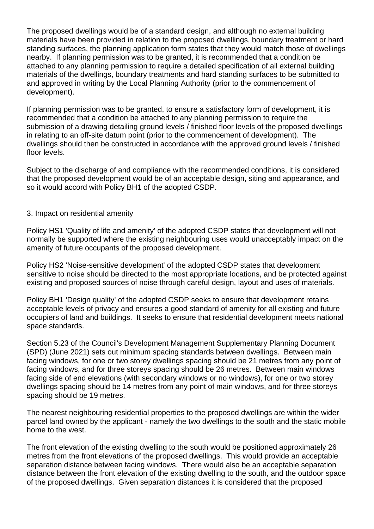The proposed dwellings would be of a standard design, and although no external building materials have been provided in relation to the proposed dwellings, boundary treatment or hard standing surfaces, the planning application form states that they would match those of dwellings nearby. If planning permission was to be granted, it is recommended that a condition be attached to any planning permission to require a detailed specification of all external building materials of the dwellings, boundary treatments and hard standing surfaces to be submitted to and approved in writing by the Local Planning Authority (prior to the commencement of development).

If planning permission was to be granted, to ensure a satisfactory form of development, it is recommended that a condition be attached to any planning permission to require the submission of a drawing detailing ground levels / finished floor levels of the proposed dwellings in relating to an off-site datum point (prior to the commencement of development). The dwellings should then be constructed in accordance with the approved ground levels / finished floor levels.

Subject to the discharge of and compliance with the recommended conditions, it is considered that the proposed development would be of an acceptable design, siting and appearance, and so it would accord with Policy BH1 of the adopted CSDP.

## 3. Impact on residential amenity

Policy HS1 'Quality of life and amenity' of the adopted CSDP states that development will not normally be supported where the existing neighbouring uses would unacceptably impact on the amenity of future occupants of the proposed development.

Policy HS2 'Noise-sensitive development' of the adopted CSDP states that development sensitive to noise should be directed to the most appropriate locations, and be protected against existing and proposed sources of noise through careful design, layout and uses of materials.

Policy BH1 'Design quality' of the adopted CSDP seeks to ensure that development retains acceptable levels of privacy and ensures a good standard of amenity for all existing and future occupiers of land and buildings. It seeks to ensure that residential development meets national space standards.

Section 5.23 of the Council's Development Management Supplementary Planning Document (SPD) (June 2021) sets out minimum spacing standards between dwellings. Between main facing windows, for one or two storey dwellings spacing should be 21 metres from any point of facing windows, and for three storeys spacing should be 26 metres. Between main windows facing side of end elevations (with secondary windows or no windows), for one or two storey dwellings spacing should be 14 metres from any point of main windows, and for three storeys spacing should be 19 metres.

The nearest neighbouring residential properties to the proposed dwellings are within the wider parcel land owned by the applicant - namely the two dwellings to the south and the static mobile home to the west.

The front elevation of the existing dwelling to the south would be positioned approximately 26 metres from the front elevations of the proposed dwellings. This would provide an acceptable separation distance between facing windows. There would also be an acceptable separation distance between the front elevation of the existing dwelling to the south, and the outdoor space of the proposed dwellings. Given separation distances it is considered that the proposed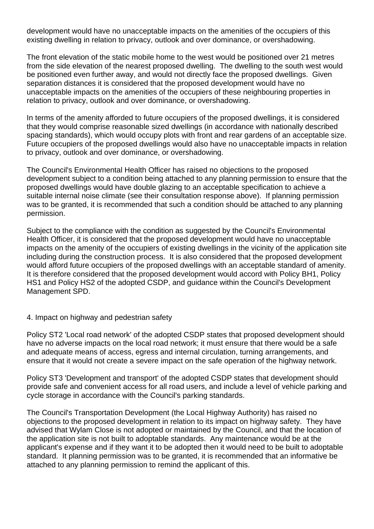development would have no unacceptable impacts on the amenities of the occupiers of this existing dwelling in relation to privacy, outlook and over dominance, or overshadowing.

The front elevation of the static mobile home to the west would be positioned over 21 metres from the side elevation of the nearest proposed dwelling. The dwelling to the south west would be positioned even further away, and would not directly face the proposed dwellings. Given separation distances it is considered that the proposed development would have no unacceptable impacts on the amenities of the occupiers of these neighbouring properties in relation to privacy, outlook and over dominance, or overshadowing.

In terms of the amenity afforded to future occupiers of the proposed dwellings, it is considered that they would comprise reasonable sized dwellings (in accordance with nationally described spacing standards), which would occupy plots with front and rear gardens of an acceptable size. Future occupiers of the proposed dwellings would also have no unacceptable impacts in relation to privacy, outlook and over dominance, or overshadowing.

The Council's Environmental Health Officer has raised no objections to the proposed development subject to a condition being attached to any planning permission to ensure that the proposed dwellings would have double glazing to an acceptable specification to achieve a suitable internal noise climate (see their consultation response above). If planning permission was to be granted, it is recommended that such a condition should be attached to any planning permission.

Subject to the compliance with the condition as suggested by the Council's Environmental Health Officer, it is considered that the proposed development would have no unacceptable impacts on the amenity of the occupiers of existing dwellings in the vicinity of the application site including during the construction process. It is also considered that the proposed development would afford future occupiers of the proposed dwellings with an acceptable standard of amenity. It is therefore considered that the proposed development would accord with Policy BH1, Policy HS1 and Policy HS2 of the adopted CSDP, and guidance within the Council's Development Management SPD.

## 4. Impact on highway and pedestrian safety

Policy ST2 'Local road network' of the adopted CSDP states that proposed development should have no adverse impacts on the local road network; it must ensure that there would be a safe and adequate means of access, egress and internal circulation, turning arrangements, and ensure that it would not create a severe impact on the safe operation of the highway network.

Policy ST3 'Development and transport' of the adopted CSDP states that development should provide safe and convenient access for all road users, and include a level of vehicle parking and cycle storage in accordance with the Council's parking standards.

The Council's Transportation Development (the Local Highway Authority) has raised no objections to the proposed development in relation to its impact on highway safety. They have advised that Wylam Close is not adopted or maintained by the Council, and that the location of the application site is not built to adoptable standards. Any maintenance would be at the applicant's expense and if they want it to be adopted then it would need to be built to adoptable standard. It planning permission was to be granted, it is recommended that an informative be attached to any planning permission to remind the applicant of this.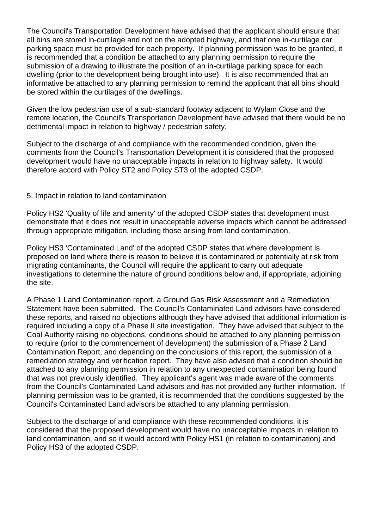The Council's Transportation Development have advised that the applicant should ensure that all bins are stored in-curtilage and not on the adopted highway, and that one in-curtilage car parking space must be provided for each property. If planning permission was to be granted, it is recommended that a condition be attached to any planning permission to require the submission of a drawing to illustrate the position of an in-curtilage parking space for each dwelling (prior to the development being brought into use). It is also recommended that an informative be attached to any planning permission to remind the applicant that all bins should be stored within the curtilages of the dwellings.

Given the low pedestrian use of a sub-standard footway adjacent to Wylam Close and the remote location, the Council's Transportation Development have advised that there would be no detrimental impact in relation to highway / pedestrian safety.

Subject to the discharge of and compliance with the recommended condition, given the comments from the Council's Transportation Development it is considered that the proposed development would have no unacceptable impacts in relation to highway safety. It would therefore accord with Policy ST2 and Policy ST3 of the adopted CSDP.

## 5. Impact in relation to land contamination

Policy HS2 'Quality of life and amenity' of the adopted CSDP states that development must demonstrate that it does not result in unacceptable adverse impacts which cannot be addressed through appropriate mitigation, including those arising from land contamination.

Policy HS3 'Contaminated Land' of the adopted CSDP states that where development is proposed on land where there is reason to believe it is contaminated or potentially at risk from migrating contaminants, the Council will require the applicant to carry out adequate investigations to determine the nature of ground conditions below and, if appropriate, adjoining the site.

A Phase 1 Land Contamination report, a Ground Gas Risk Assessment and a Remediation Statement have been submitted. The Council's Contaminated Land advisors have considered these reports, and raised no objections although they have advised that additional information is required including a copy of a Phase II site investigation. They have advised that subject to the Coal Authority raising no objections, conditions should be attached to any planning permission to require (prior to the commencement of development) the submission of a Phase 2 Land Contamination Report, and depending on the conclusions of this report, the submission of a remediation strategy and verification report. They have also advised that a condition should be attached to any planning permission in relation to any unexpected contamination being found that was not previously identified. They applicant's agent was made aware of the comments from the Council's Contaminated Land advisors and has not provided any further information. If planning permission was to be granted, it is recommended that the conditions suggested by the Council's Contaminated Land advisors be attached to any planning permission.

Subject to the discharge of and compliance with these recommended conditions, it is considered that the proposed development would have no unacceptable impacts in relation to land contamination, and so it would accord with Policy HS1 (in relation to contamination) and Policy HS3 of the adopted CSDP.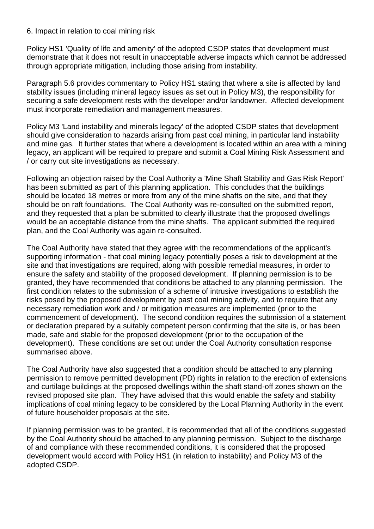### 6. Impact in relation to coal mining risk

Policy HS1 'Quality of life and amenity' of the adopted CSDP states that development must demonstrate that it does not result in unacceptable adverse impacts which cannot be addressed through appropriate mitigation, including those arising from instability.

Paragraph 5.6 provides commentary to Policy HS1 stating that where a site is affected by land stability issues (including mineral legacy issues as set out in Policy M3), the responsibility for securing a safe development rests with the developer and/or landowner. Affected development must incorporate remediation and management measures.

Policy M3 'Land instability and minerals legacy' of the adopted CSDP states that development should give consideration to hazards arising from past coal mining, in particular land instability and mine gas. It further states that where a development is located within an area with a mining legacy, an applicant will be required to prepare and submit a Coal Mining Risk Assessment and / or carry out site investigations as necessary.

Following an objection raised by the Coal Authority a 'Mine Shaft Stability and Gas Risk Report' has been submitted as part of this planning application. This concludes that the buildings should be located 18 metres or more from any of the mine shafts on the site, and that they should be on raft foundations. The Coal Authority was re-consulted on the submitted report, and they requested that a plan be submitted to clearly illustrate that the proposed dwellings would be an acceptable distance from the mine shafts. The applicant submitted the required plan, and the Coal Authority was again re-consulted.

The Coal Authority have stated that they agree with the recommendations of the applicant's supporting information - that coal mining legacy potentially poses a risk to development at the site and that investigations are required, along with possible remedial measures, in order to ensure the safety and stability of the proposed development. If planning permission is to be granted, they have recommended that conditions be attached to any planning permission. The first condition relates to the submission of a scheme of intrusive investigations to establish the risks posed by the proposed development by past coal mining activity, and to require that any necessary remediation work and / or mitigation measures are implemented (prior to the commencement of development). The second condition requires the submission of a statement or declaration prepared by a suitably competent person confirming that the site is, or has been made, safe and stable for the proposed development (prior to the occupation of the development). These conditions are set out under the Coal Authority consultation response summarised above.

The Coal Authority have also suggested that a condition should be attached to any planning permission to remove permitted development (PD) rights in relation to the erection of extensions and curtilage buildings at the proposed dwellings within the shaft stand-off zones shown on the revised proposed site plan. They have advised that this would enable the safety and stability implications of coal mining legacy to be considered by the Local Planning Authority in the event of future householder proposals at the site.

If planning permission was to be granted, it is recommended that all of the conditions suggested by the Coal Authority should be attached to any planning permission. Subject to the discharge of and compliance with these recommended conditions, it is considered that the proposed development would accord with Policy HS1 (in relation to instability) and Policy M3 of the adopted CSDP.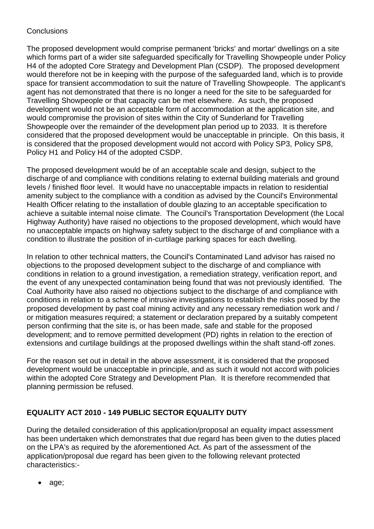## **Conclusions**

The proposed development would comprise permanent 'bricks' and mortar' dwellings on a site which forms part of a wider site safeguarded specifically for Travelling Showpeople under Policy H4 of the adopted Core Strategy and Development Plan (CSDP). The proposed development would therefore not be in keeping with the purpose of the safeguarded land, which is to provide space for transient accommodation to suit the nature of Travelling Showpeople. The applicant's agent has not demonstrated that there is no longer a need for the site to be safeguarded for Travelling Showpeople or that capacity can be met elsewhere. As such, the proposed development would not be an acceptable form of accommodation at the application site, and would compromise the provision of sites within the City of Sunderland for Travelling Showpeople over the remainder of the development plan period up to 2033. It is therefore considered that the proposed development would be unacceptable in principle. On this basis, it is considered that the proposed development would not accord with Policy SP3, Policy SP8, Policy H1 and Policy H4 of the adopted CSDP.

The proposed development would be of an acceptable scale and design, subject to the discharge of and compliance with conditions relating to external building materials and ground levels / finished floor level. It would have no unacceptable impacts in relation to residential amenity subject to the compliance with a condition as advised by the Council's Environmental Health Officer relating to the installation of double glazing to an acceptable specification to achieve a suitable internal noise climate. The Council's Transportation Development (the Local Highway Authority) have raised no objections to the proposed development, which would have no unacceptable impacts on highway safety subject to the discharge of and compliance with a condition to illustrate the position of in-curtilage parking spaces for each dwelling.

In relation to other technical matters, the Council's Contaminated Land advisor has raised no objections to the proposed development subject to the discharge of and compliance with conditions in relation to a ground investigation, a remediation strategy, verification report, and the event of any unexpected contamination being found that was not previously identified. The Coal Authority have also raised no objections subject to the discharge of and compliance with conditions in relation to a scheme of intrusive investigations to establish the risks posed by the proposed development by past coal mining activity and any necessary remediation work and / or mitigation measures required; a statement or declaration prepared by a suitably competent person confirming that the site is, or has been made, safe and stable for the proposed development; and to remove permitted development (PD) rights in relation to the erection of extensions and curtilage buildings at the proposed dwellings within the shaft stand-off zones.

For the reason set out in detail in the above assessment, it is considered that the proposed development would be unacceptable in principle, and as such it would not accord with policies within the adopted Core Strategy and Development Plan. It is therefore recommended that planning permission be refused.

# **EQUALITY ACT 2010 - 149 PUBLIC SECTOR EQUALITY DUTY**

During the detailed consideration of this application/proposal an equality impact assessment has been undertaken which demonstrates that due regard has been given to the duties placed on the LPA's as required by the aforementioned Act. As part of the assessment of the application/proposal due regard has been given to the following relevant protected characteristics:-

• age;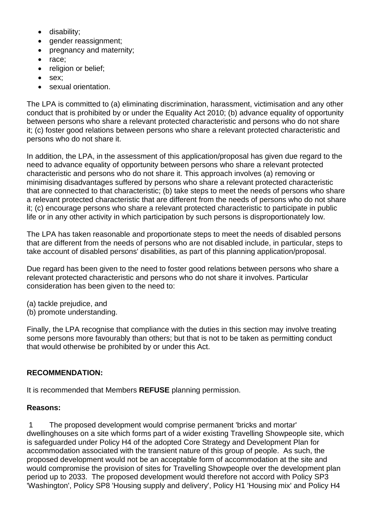- disability;
- gender reassignment;
- pregnancy and maternity;
- race;
- religion or belief;
- sex;
- sexual orientation.

The LPA is committed to (a) eliminating discrimination, harassment, victimisation and any other conduct that is prohibited by or under the Equality Act 2010; (b) advance equality of opportunity between persons who share a relevant protected characteristic and persons who do not share it; (c) foster good relations between persons who share a relevant protected characteristic and persons who do not share it.

In addition, the LPA, in the assessment of this application/proposal has given due regard to the need to advance equality of opportunity between persons who share a relevant protected characteristic and persons who do not share it. This approach involves (a) removing or minimising disadvantages suffered by persons who share a relevant protected characteristic that are connected to that characteristic; (b) take steps to meet the needs of persons who share a relevant protected characteristic that are different from the needs of persons who do not share it; (c) encourage persons who share a relevant protected characteristic to participate in public life or in any other activity in which participation by such persons is disproportionately low.

The LPA has taken reasonable and proportionate steps to meet the needs of disabled persons that are different from the needs of persons who are not disabled include, in particular, steps to take account of disabled persons' disabilities, as part of this planning application/proposal.

Due regard has been given to the need to foster good relations between persons who share a relevant protected characteristic and persons who do not share it involves. Particular consideration has been given to the need to:

- (a) tackle prejudice, and
- (b) promote understanding.

Finally, the LPA recognise that compliance with the duties in this section may involve treating some persons more favourably than others; but that is not to be taken as permitting conduct that would otherwise be prohibited by or under this Act.

## **RECOMMENDATION:**

It is recommended that Members **REFUSE** planning permission.

## **Reasons:**

1 The proposed development would comprise permanent 'bricks and mortar' dwellinghouses on a site which forms part of a wider existing Travelling Showpeople site, which is safeguarded under Policy H4 of the adopted Core Strategy and Development Plan for accommodation associated with the transient nature of this group of people. As such, the proposed development would not be an acceptable form of accommodation at the site and would compromise the provision of sites for Travelling Showpeople over the development plan period up to 2033. The proposed development would therefore not accord with Policy SP3 'Washington', Policy SP8 'Housing supply and delivery', Policy H1 'Housing mix' and Policy H4